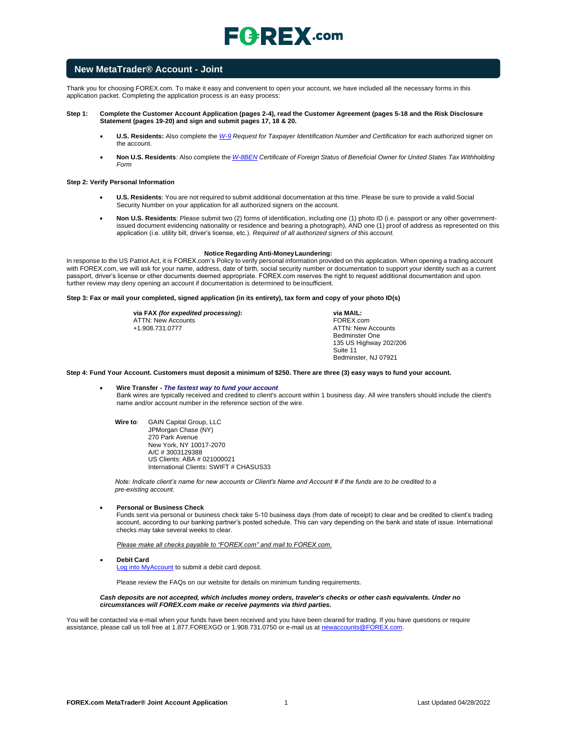

### **New MetaTrader® Account - Joint**

Thank you for choosing FOREX.com. To make it easy and convenient to open your account, we have included all the necessary forms in this application packet. Completing the application process is an easy process:

#### **Step 1: Complete the Customer Account Application (pages 2-4), read the Customer Agreement (pages 5-18 and the Risk Disclosure Statement (pages 19-20) and sign and submit pages 17, 18 & 20.**

- **U.S. Residents:** Also complete the *[W-9](https://www.irs.gov/pub/irs-pdf/fw9.pdf) Request for Taxpayer Identification Number and Certification* for each authorized signer on the account.
- Non U.S. Residents: Also complete the *[W-8BEN](https://www.irs.gov/pub/irs-pdf/fw8ben.pdf)* Certificate of Foreign Status of Beneficial Owner for United States Tax Withholding *Form*

#### **Step 2: Verify Personal Information**

- **U.S. Residents**: You are not required to submit additional documentation at this time. Please be sure to provide a valid Social Security Number on your application for all authorized signers on the account.
- **Non U.S. Residents**: Please submit two (2) forms of identification, including one (1) photo ID (i.e. passport or any other governmentissued document evidencing nationality or residence and bearing a photograph), AND one (1) proof of address as represented on this application (i.e. utility bill, driver's license, etc.). *Required of all authorized signers of this account.*

#### **Notice Regarding Anti-MoneyLaundering:**

In response to the US Patriot Act, it is FOREX.com's Policy to verify personal information provided on this application. When opening a trading account with FOREX.com, we will ask for your name, address, date of birth, social security number or documentation to support your identity such as a current passport, driver's license or other documents deemed appropriate. FOREX.com reserves the right to request additional documentation and upon further review may deny opening an account if documentation is determined to be insufficient.

#### **Step 3: Fax or mail your completed, signed application (in its entirety), tax form and copy of your photo ID(s)**

**via FAX** *(for expedited processing)***:** ATTN: New Accounts +1.908.731.0777

**via MAIL:** FOREX.com ATTN: New Accounts Bedminster One 135 US Highway 202/206 Suite 11 Bedminster, NJ 07921

**Step 4: Fund Your Account. Customers must deposit a minimum of \$250. There are three (3) easy ways to fund your account.**

#### • **Wire Transfer -** *The fastest way to fund your account* Bank wires are typically received and credited to client's account within 1 business day. All wire transfers should include the client's name and/or account number in the reference section of the wire.

**Wire to**: GAIN Capital Group, LLC JPMorgan Chase (NY) 270 Park Avenue New York, NY 10017-2070 A/C # 3003129388 US Clients: ABA # 021000021 International Clients: SWIFT # CHASUS33

*Note: Indicate client's name for new accounts or Client's Name and Account # if the funds are to be credited to a pre-existing account.*

#### • **Personal or Business Check**

Funds sent via personal or business check take 5-10 business days (from date of receipt) to clear and be credited to client's trading account, according to our banking partner's posted schedule. This can vary depending on the bank and state of issue. International checks may take several weeks to clear.

*Please make all checks payable to "FOREX.com" and mail to FOREX.com.*

• **Debit Card**

[Log into MyAccount](http://www.forex.com/myaccount.html) to submit a debit card deposit.

Please review the FAQs on our website for details on minimum funding requirements.

#### *Cash deposits are not accepted, which includes money orders, traveler's checks or other cash equivalents. Under no circumstances will FOREX.com make or receive payments via third parties.*

You will be contacted via e-mail when your funds have been received and you have been cleared for trading. If you have questions or require assistance, please call us toll free at 1.877.FOREXGO or 1.908.731.0750 or e-mail us a[t newaccounts@FOREX.com.](mailto:info@fxadvantage.com)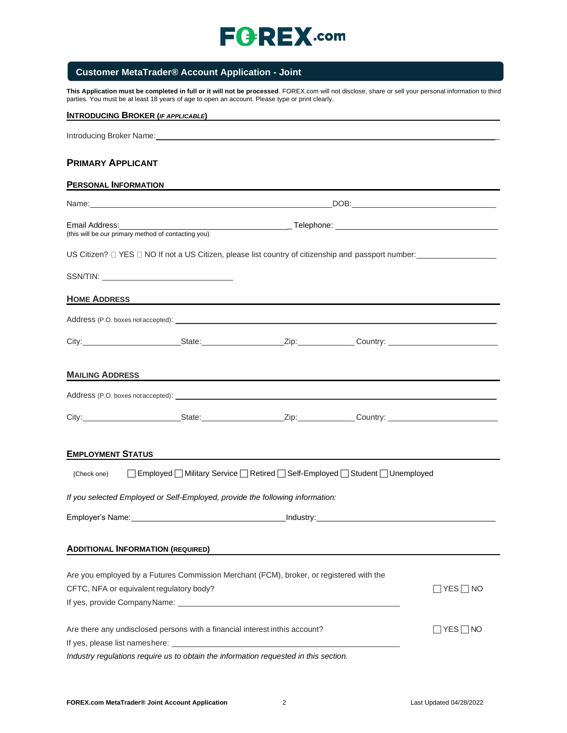

# **Customer MetaTrader® Account Application - Joint**

**This Application must be completed in full or it will not be processed**. FOREX.com will not disclose, share or sell your personal information to third parties. You must be at least 18 years of age to open an account. Please type or print clearly.

| <b>INTRODUCING BROKER (IF APPLICABLE)</b>                                                                                                                                                                                      |  |                                                                                                                       |  |  |
|--------------------------------------------------------------------------------------------------------------------------------------------------------------------------------------------------------------------------------|--|-----------------------------------------------------------------------------------------------------------------------|--|--|
| Introducing Broker Name: Name: New York: Name: Name: Name: Name: Name: Name: Name: Name: Name: Name: Name: Name: Name: Name: Name: Name: Name: Name: Name: Name: Name: Name: Name: Name: Name: Name: Name: Name: Name: Name: N |  |                                                                                                                       |  |  |
| <b>PRIMARY APPLICANT</b>                                                                                                                                                                                                       |  |                                                                                                                       |  |  |
| <b>PERSONAL INFORMATION</b>                                                                                                                                                                                                    |  |                                                                                                                       |  |  |
| Name: Name: Name: Name: Name: Name: Name: Name: Name: Name: Name: Name: Name: Name: Name: Name: Name: Name: Name: Name: Name: Name: Name: Name: Name: Name: Name: Name: Name: Name: Name: Name: Name: Name: Name: Name: Name:  |  |                                                                                                                       |  |  |
| Email Address:<br>(this will be our primary method of contacting you)                                                                                                                                                          |  |                                                                                                                       |  |  |
|                                                                                                                                                                                                                                |  |                                                                                                                       |  |  |
|                                                                                                                                                                                                                                |  |                                                                                                                       |  |  |
| <b>HOME ADDRESS</b>                                                                                                                                                                                                            |  | <u> 1989 - Johann Barn, mars ann an t-Amhainn an t-Amhainn an t-Amhainn an t-Amhainn an t-Amhainn an t-Amhainn an</u> |  |  |
|                                                                                                                                                                                                                                |  |                                                                                                                       |  |  |
|                                                                                                                                                                                                                                |  |                                                                                                                       |  |  |
| <b>MAILING ADDRESS</b>                                                                                                                                                                                                         |  |                                                                                                                       |  |  |
|                                                                                                                                                                                                                                |  |                                                                                                                       |  |  |
| City: City: City: Curricle Country: Country: Country: Country: Country: Country: Country: Country: Country: Country: Country: Country: Country: Country: Country: Country: Country: Country: Country: Country: Country: Countr |  |                                                                                                                       |  |  |
| <b>EMPLOYMENT STATUS</b>                                                                                                                                                                                                       |  | <u> 1989 - Johann Johann Stoff, deutscher Stoff, der Stoff, der Stoff, der Stoff, der Stoff, der Stoff, der Stoff</u> |  |  |
| (Check one)                                                                                                                                                                                                                    |  | □ Employed ■ Military Service ■ Retired ■ Self-Employed ■ Student ■ Unemployed                                        |  |  |
| If you selected Employed or Self-Employed, provide the following information:                                                                                                                                                  |  |                                                                                                                       |  |  |
|                                                                                                                                                                                                                                |  |                                                                                                                       |  |  |
| <b>ADDITIONAL INFORMATION (REQUIRED)</b>                                                                                                                                                                                       |  |                                                                                                                       |  |  |
| Are you employed by a Futures Commission Merchant (FCM), broker, or registered with the                                                                                                                                        |  |                                                                                                                       |  |  |
| CFTC, NFA or equivalent regulatory body?<br>$\top$ YES $\top$ NO                                                                                                                                                               |  |                                                                                                                       |  |  |
|                                                                                                                                                                                                                                |  |                                                                                                                       |  |  |
| Are there any undisclosed persons with a financial interest inthis account?<br>∣YES∏NO                                                                                                                                         |  |                                                                                                                       |  |  |
|                                                                                                                                                                                                                                |  |                                                                                                                       |  |  |
| Industry regulations require us to obtain the information requested in this section.                                                                                                                                           |  |                                                                                                                       |  |  |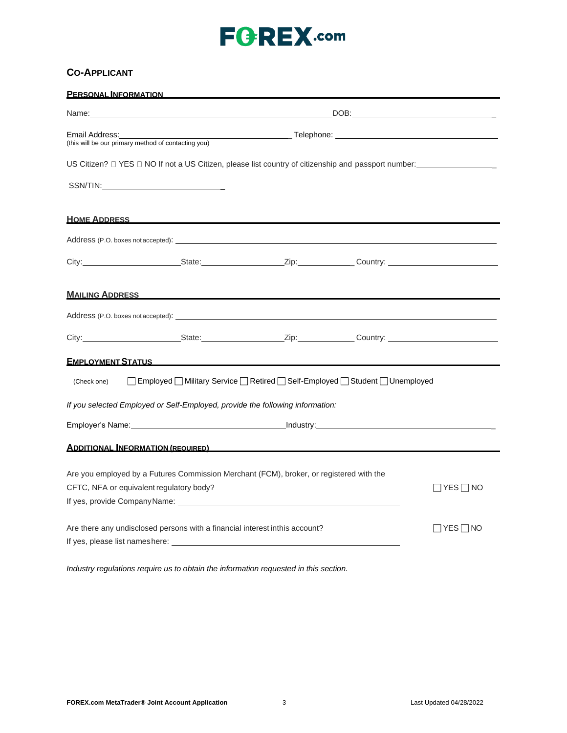# **CO-APPLICANT**

| <b>PERSONAL INFORMATION</b>                                                                   |                                                                                                                                                                                                                                                                                                                                                                                                                                                                  |  |  |  |
|-----------------------------------------------------------------------------------------------|------------------------------------------------------------------------------------------------------------------------------------------------------------------------------------------------------------------------------------------------------------------------------------------------------------------------------------------------------------------------------------------------------------------------------------------------------------------|--|--|--|
|                                                                                               | DOB: Note and the second second second second second second second second second second second second second second second second second second second second second second second second second second second second second s<br>Name: with a state of the contract of the contract of the contract of the contract of the contract of the contract of the contract of the contract of the contract of the contract of the contract of the contract of the cont |  |  |  |
| Email Address:                                                                                | (this will be our primary method of contacting you)                                                                                                                                                                                                                                                                                                                                                                                                              |  |  |  |
|                                                                                               |                                                                                                                                                                                                                                                                                                                                                                                                                                                                  |  |  |  |
|                                                                                               |                                                                                                                                                                                                                                                                                                                                                                                                                                                                  |  |  |  |
|                                                                                               | <b>HOME ADDRESS HOME ADDRESS</b>                                                                                                                                                                                                                                                                                                                                                                                                                                 |  |  |  |
|                                                                                               |                                                                                                                                                                                                                                                                                                                                                                                                                                                                  |  |  |  |
|                                                                                               |                                                                                                                                                                                                                                                                                                                                                                                                                                                                  |  |  |  |
|                                                                                               | <b>MAILING ADDRESS WAS ARRESTED FOR A STATE OF A STATE OF A STATE OF A STATE OF A STATE OF A STATE OF A STATE OF A STATE OF A STATE OF A STATE OF A STATE OF A STATE OF A STATE OF A STATE OF A STATE OF A STATE OF A STATE OF A</b>                                                                                                                                                                                                                             |  |  |  |
|                                                                                               | Address (P.O. boxes not accepted): example and accepted of the set of the set of the set of the set of the set of the set of the set of the set of the set of the set of the set of the set of the set of the set of the set o                                                                                                                                                                                                                                   |  |  |  |
|                                                                                               |                                                                                                                                                                                                                                                                                                                                                                                                                                                                  |  |  |  |
|                                                                                               | <b>EMPLOYMENT STATUS EXECUTIVE STATUS</b>                                                                                                                                                                                                                                                                                                                                                                                                                        |  |  |  |
| □ Employed O Military Service O Retired O Self-Employed O Student O Unemployed<br>(Check one) |                                                                                                                                                                                                                                                                                                                                                                                                                                                                  |  |  |  |
| If you selected Employed or Self-Employed, provide the following information:                 |                                                                                                                                                                                                                                                                                                                                                                                                                                                                  |  |  |  |
|                                                                                               |                                                                                                                                                                                                                                                                                                                                                                                                                                                                  |  |  |  |
|                                                                                               | <b>ADDITIONAL INFORMATION (REQUIRED)</b>                                                                                                                                                                                                                                                                                                                                                                                                                         |  |  |  |
| Are you employed by a Futures Commission Merchant (FCM), broker, or registered with the       |                                                                                                                                                                                                                                                                                                                                                                                                                                                                  |  |  |  |
| CFTC, NFA or equivalent regulatory body?<br>$\Box$ Yes $\Box$ No                              |                                                                                                                                                                                                                                                                                                                                                                                                                                                                  |  |  |  |
|                                                                                               |                                                                                                                                                                                                                                                                                                                                                                                                                                                                  |  |  |  |
| Are there any undisclosed persons with a financial interest inthis account?<br>∃YES ⊟ NO      |                                                                                                                                                                                                                                                                                                                                                                                                                                                                  |  |  |  |
|                                                                                               | If yes, please list nameshere: The state of the state of the state of the state of the state of the state of the state of the state of the state of the state of the state of the state of the state of the state of the state                                                                                                                                                                                                                                   |  |  |  |

*Industry regulations require us to obtain the information requested in this section.*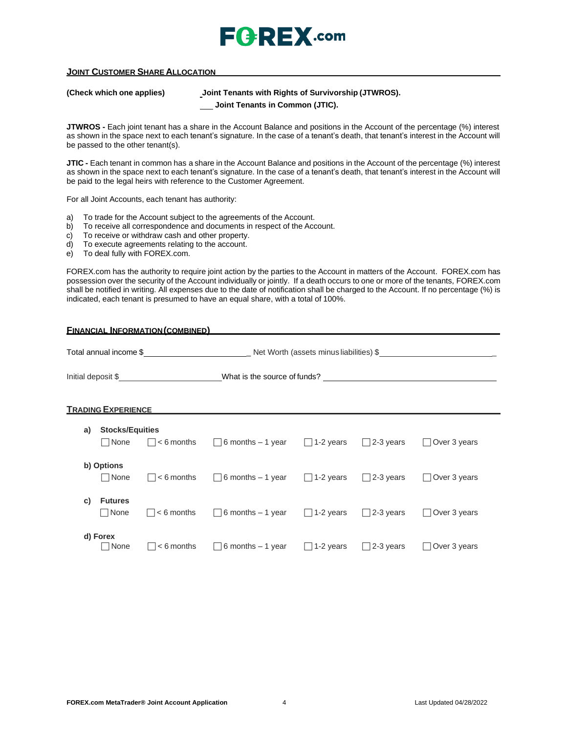

### **JOINT CUSTOMER SHARE ALLOCATION**

**(Check which one applies) Joint Tenants with Rights of Survivorship (JTWROS).**

**Joint Tenants in Common (JTIC).**

**JTWROS -** Each joint tenant has a share in the Account Balance and positions in the Account of the percentage (%) interest as shown in the space next to each tenant's signature. In the case of a tenant's death, that tenant's interest in the Account will be passed to the other tenant(s).

**JTIC -** Each tenant in common has a share in the Account Balance and positions in the Account of the percentage (%) interest as shown in the space next to each tenant's signature. In the case of a tenant's death, that tenant's interest in the Account will be paid to the legal heirs with reference to the Customer Agreement.

For all Joint Accounts, each tenant has authority:

- a) To trade for the Account subject to the agreements of the Account.
- b) To receive all correspondence and documents in respect of the Account.
- c) To receive or withdraw cash and other property.
- d) To execute agreements relating to the account.
- e) To deal fully with FOREX.com.

FOREX.com has the authority to require joint action by the parties to the Account in matters of the Account. FOREX.com has possession over the security of the Account individually or jointly. If a death occurs to one or more of the tenants, FOREX.com shall be notified in writing. All expenses due to the date of notification shall be charged to the Account. If no percentage (%) is indicated, each tenant is presumed to have an equal share, with a total of 100%.

| <b>FINANCIAL INFORMATION (COMBINED)</b> |                                 |                    |                              |                           |                  |                     |
|-----------------------------------------|---------------------------------|--------------------|------------------------------|---------------------------|------------------|---------------------|
|                                         |                                 |                    |                              |                           |                  |                     |
|                                         |                                 | Initial deposit \$ | What is the source of funds? |                           |                  |                     |
|                                         | <b>TRADING EXPERIENCE</b>       |                    |                              |                           |                  |                     |
| a)                                      | <b>Stocks/Equities</b>          |                    |                              |                           |                  |                     |
|                                         | □ None                          | $\Box$ < 6 months  | $\Box$ 6 months – 1 year     | $\Box$ 1-2 years          | $\Box$ 2-3 years | $\Box$ Over 3 years |
|                                         | b) Options<br>□ None            | $\Box$ < 6 months  | $\Box$ 6 months – 1 year     | $\Box$ 1-2 years          | $\Box$ 2-3 years | $\Box$ Over 3 years |
| C)                                      | <b>Futures</b><br>$\sqcap$ None | $< 6$ months       | $\Box$ 6 months – 1 year     | 1-2 years<br>$\mathbf{1}$ | $\Box$ 2-3 years | Over 3 years        |
|                                         | d) Forex<br>  None              | $< 6$ months       | $\Box$ 6 months – 1 year     | 1-2 years                 | $\Box$ 2-3 years | $\Box$ Over 3 years |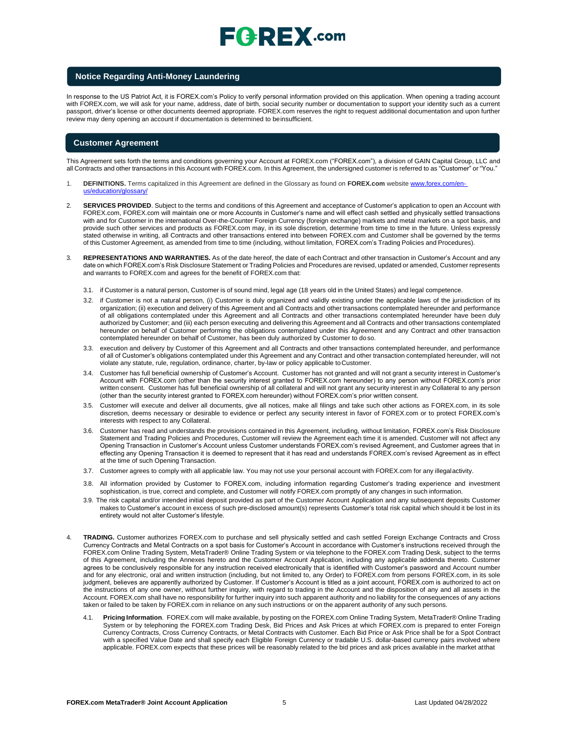# $\mathsf{F}$ **Q**: REX .com

#### **Notice Regarding Anti-Money Laundering**

In response to the US Patriot Act, it is FOREX.com's Policy to verify personal information provided on this application. When opening a trading account with FOREX.com, we will ask for your name, address, date of birth, social security number or documentation to support your identity such as a current passport, driver's license or other documents deemed appropriate. FOREX.com reserves the right to request additional documentation and upon further review may deny opening an account if documentation is determined to beinsufficient.

#### **Customer Agreement**

This Agreement sets forth the terms and conditions governing your Account at FOREX.com ("FOREX.com"), a division of GAIN Capital Group, LLC and all Contracts and other transactions in this Account with FOREX.com. In this Agreement, the undersigned customer is referred to as "Customer" or "You."

- 1. **DEFINITIONS.** Terms capitalized in this Agreement are defined in the Glossary as found on **FOREX.com** website [www.forex.com/en](http://www.forex.com/en-us/education/glossary/)[us/education/glossary/](http://www.forex.com/en-us/education/glossary/)
- 2. **SERVICES PROVIDED**. Subject to the terms and conditions of this Agreement and acceptance of Customer's application to open an Account with FOREX.com, FOREX.com will maintain one or more Accounts in Customer's name and will effect cash settled and physically settled transactions with and for Customer in the international Over-the-Counter Foreign Currency (foreign exchange) markets and metal markets on a spot basis, and provide such other services and products as FOREX.com may, in its sole discretion, determine from time to time in the future. Unless expressly stated otherwise in writing, all Contracts and other transactions entered into between FOREX.com and Customer shall be governed by the terms of this Customer Agreement, as amended from time to time (including, without limitation, FOREX.com's Trading Policies and Procedures).
- 3. **REPRESENTATIONS AND WARRANTIES.** As of the date hereof, the date of each Contract and other transaction in Customer's Account and any date on which FOREX.com's Risk Disclosure Statement or Trading Policies and Procedures are revised, updated or amended, Customer represents and warrants to FOREX.com and agrees for the benefit of FOREX.com that:
	- 3.1. if Customer is a natural person, Customer is of sound mind, legal age (18 years old in the United States) and legal competence.
	- 3.2. if Customer is not a natural person, (i) Customer is duly organized and validly existing under the applicable laws of the jurisdiction of its organization; (ii) execution and delivery of this Agreement and all Contracts and other transactions contemplated hereunder and performance of all obligations contemplated under this Agreement and all Contracts and other transactions contemplated hereunder have been duly authorized by Customer; and (iii) each person executing and delivering this Agreement and all Contracts and other transactions contemplated hereunder on behalf of Customer performing the obligations contemplated under this Agreement and any Contract and other transaction contemplated hereunder on behalf of Customer, has been duly authorized by Customer to doso.
	- 3.3. execution and delivery by Customer of this Agreement and all Contracts and other transactions contemplated hereunder, and performance of all of Customer's obligations contemplated under this Agreement and any Contract and other transaction contemplated hereunder, will not violate any statute, rule, regulation, ordinance, charter, by-law or policy applicable toCustomer.
	- 3.4. Customer has full beneficial ownership of Customer's Account. Customer has not granted and will not grant a security interest in Customer's Account with FOREX.com (other than the security interest granted to FOREX.com hereunder) to any person without FOREX.com's prior written consent. Customer has full beneficial ownership of all collateral and will not grant any security interest in any Collateral to any person (other than the security interest granted to FOREX.com hereunder) without FOREX.com's prior written consent.
	- 3.5. Customer will execute and deliver all documents, give all notices, make all filings and take such other actions as FOREX.com, in its sole discretion, deems necessary or desirable to evidence or perfect any security interest in favor of FOREX.com or to protect FOREX.com's interests with respect to any Collateral.
	- 3.6. Customer has read and understands the provisions contained in this Agreement, including, without limitation, FOREX.com's Risk Disclosure Statement and Trading Policies and Procedures, Customer will review the Agreement each time it is amended. Customer will not affect any Opening Transaction in Customer's Account unless Customer understands FOREX.com's revised Agreement, and Customer agrees that in effecting any Opening Transaction it is deemed to represent that it has read and understands FOREX.com's revised Agreement as in effect at the time of such Opening Transaction.
	- 3.7. Customer agrees to comply with all applicable law. You may not use your personal account with FOREX.com for any illegalactivity.
	- 3.8. All information provided by Customer to FOREX.com, including information regarding Customer's trading experience and investment sophistication, is true, correct and complete, and Customer will notify FOREX.com promptly of any changes in such information.
	- 3.9. The risk capital and/or intended initial deposit provided as part of the Customer Account Application and any subsequent deposits Customer makes to Customer's account in excess of such pre-disclosed amount(s) represents Customer's total risk capital which should it be lost in its entirety would not alter Customer's lifestyle.
- 4. **TRADING.** Customer authorizes FOREX.com to purchase and sell physically settled and cash settled Foreign Exchange Contracts and Cross Currency Contracts and Metal Contracts on a spot basis for Customer's Account in accordance with Customer's instructions received through the FOREX.com Online Trading System, MetaTrader® Online Trading System or via telephone to the FOREX.com Trading Desk, subject to the terms of this Agreement, including the Annexes hereto and the Customer Account Application, including any applicable addenda thereto. Customer agrees to be conclusively responsible for any instruction received electronically that is identified with Customer's password and Account number and for any electronic, oral and written instruction (including, but not limited to, any Order) to FOREX.com from persons FOREX.com, in its sole judgment, believes are apparently authorized by Customer. If Customer's Account is titled as a joint account, FOREX.com is authorized to act on the instructions of any one owner, without further inquiry, with regard to trading in the Account and the disposition of any and all assets in the Account. FOREX.com shall have no responsibility for further inquiry into such apparent authority and no liability for the consequences of any actions taken or failed to be taken by FOREX.com in reliance on any such instructions or on the apparent authority of any such persons.
	- 4.1. **Pricing Information**. FOREX.com will make available, by posting on the FOREX.com Online Trading System, MetaTrader® Online Trading System or by telephoning the FOREX.com Trading Desk, Bid Prices and Ask Prices at which FOREX.com is prepared to enter Foreign Currency Contracts, Cross Currency Contracts, or Metal Contracts with Customer. Each Bid Price or Ask Price shall be for a Spot Contract with a specified Value Date and shall specify each Eligible Foreign Currency or tradable U.S. dollar-based currency pairs involved where applicable. FOREX.com expects that these prices will be reasonably related to the bid prices and ask prices available in the market atthat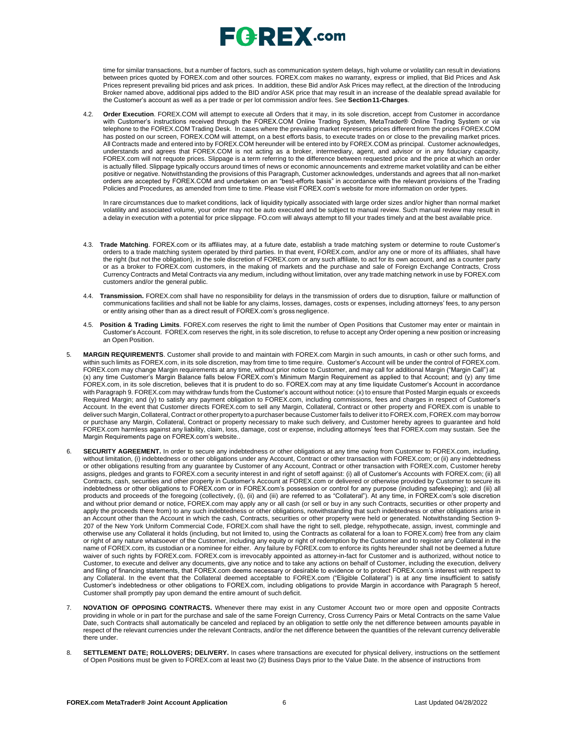

time for similar transactions, but a number of factors, such as communication system delays, high volume or volatility can result in deviations between prices quoted by FOREX.com and other sources. FOREX.com makes no warranty, express or implied, that Bid Prices and Ask Prices represent prevailing bid prices and ask prices. In addition, these Bid and/or Ask Prices may reflect, at the direction of the Introducing Broker named above, additional pips added to the BID and/or ASK price that may result in an increase of the dealable spread available for the Customer's account as well as a per trade or per lot commission and/or fees. See **Section11-Charges**.

4.2. **Order Execution**. FOREX.COM will attempt to execute all Orders that it may, in its sole discretion, accept from Customer in accordance with Customer's instructions received through the FOREX.COM Online Trading System, MetaTrader® Online Trading System or via telephone to the FOREX.COM Trading Desk. In cases where the prevailing market represents prices different from the prices FOREX.COM has posted on our screen, FOREX.COM will attempt, on a best efforts basis, to execute trades on or close to the prevailing market prices. All Contracts made and entered into by FOREX.COM hereunder will be entered into by FOREX.COM as principal. Customer acknowledges, understands and agrees that FOREX.COM is not acting as a broker, intermediary, agent, and advisor or in any fiduciary capacity. FOREX.com will not requote prices. Slippage is a term referring to the difference between requested price and the price at which an order is actually filled. Slippage typically occurs around times of news or economic announcements and extreme market volatility and can be either positive or negative. Notwithstanding the provisions of this Paragraph, Customer acknowledges, understands and agrees that all non-market orders are accepted by FOREX.COM and undertaken on an "best-efforts basis" in accordance with the relevant provisions of the Trading Policies and Procedures, as amended from time to time. Please visit FOREX.com's website for more information on order types.

In rare circumstances due to market conditions, lack of liquidity typically associated with large order sizes and/or higher than normal market volatility and associated volume, your order may not be auto executed and be subject to manual review. Such manual review may result in a delay in execution with a potential for price slippage. [FO.com w](http://forex.com/)ill always attempt to fill your trades timely and at the best available price.

- 4.3. **Trade Matching**. FOREX.com or its affiliates may, at a future date, establish a trade matching system or determine to route Customer's orders to a trade matching system operated by third parties. In that event, FOREX.com, and/or any one or more of its affiliates, shall have the right (but not the obligation), in the sole discretion of FOREX.com or any such affiliate, to act for its own account, and as a counter party or as a broker to FOREX.com customers, in the making of markets and the purchase and sale of Foreign Exchange Contracts, Cross Currency Contracts and Metal Contracts via any medium, including without limitation, over any trade matching network in use by FOREX.com customers and/or the general public.
- 4.4. **Transmission.** FOREX.com shall have no responsibility for delays in the transmission of orders due to disruption, failure or malfunction of communications facilities and shall not be liable for any claims, losses, damages, costs or expenses, including attorneys' fees, to any person or entity arising other than as a direct result of FOREX.com's gross negligence.
- 4.5. **Position & Trading Limits**. FOREX.com reserves the right to limit the number of Open Positions that Customer may enter or maintain in Customer's Account. FOREX.com reserves the right, in its sole discretion, to refuse to accept any Order opening a new position or increasing an Open Position.
- 5. **MARGIN REQUIREMENTS**. Customer shall provide to and maintain with FOREX.com Margin in such amounts, in cash or other such forms, and within such limits as FOREX.com, in its sole discretion, may from time to time require. Customer's Account will be under the control of FOREX.com. FOREX.com may change Margin requirements at any time, without prior notice to Customer, and may call for additional Margin ("Margin Call") at (x) any time Customer's Margin Balance falls below FOREX.com's Minimum Margin Requirement as applied to that Account; and (y) any time FOREX.com, in its sole discretion, believes that it is prudent to do so. FOREX.com may at any time liquidate Customer's Account in accordance with Paragraph 9. FOREX.com may withdraw funds from the Customer's account without notice: (x) to ensure that Posted Margin equals or exceeds Required Margin; and (y) to satisfy any payment obligation to FOREX.com, including commissions, fees and charges in respect of Customer's Account. In the event that Customer directs FOREX.com to sell any Margin, Collateral, Contract or other property and FOREX.com is unable to deliver such Margin, Collateral, Contract or other propertyto a purchaser because Customer fails to deliver it to FOREX.com, FOREX.com may borrow or purchase any Margin, Collateral, Contract or property necessary to make such delivery, and Customer hereby agrees to guarantee and hold FOREX.com harmless against any liability, claim, loss, damage, cost or expense, including attorneys' fees that FOREX.com may sustain. See the Margin Requirements page on FOREX.com's website..
- 6. **SECURITY AGREEMENT.** In order to secure any indebtedness or other obligations at any time owing from Customer to FOREX.com, including, without limitation, (i) indebtedness or other obligations under any Account, Contract or other transaction with FOREX.com; or (ii) any indebtedness or other obligations resulting from any guarantee by Customer of any Account, Contract or other transaction with FOREX.com, Customer hereby assigns, pledges and grants to FOREX.com a security interest in and right of setoff against: (i) all of Customer's Accounts with FOREX.com; (ii) all Contracts, cash, securities and other property in Customer's Account at FOREX.com or delivered or otherwise provided by Customer to secure its indebtedness or other obligations to FOREX.com or in FOREX.com's possession or control for any purpose (including safekeeping); and (iii) all products and proceeds of the foregoing (collectively, (i), (ii) and (iii) are referred to as "Collateral"). At any time, in FOREX.com's sole discretion and without prior demand or notice, FOREX.com may apply any or all cash (or sell or buy in any such Contracts, securities or other property and apply the proceeds there from) to any such indebtedness or other obligations, notwithstanding that such indebtedness or other obligations arise in an Account other than the Account in which the cash, Contracts, securities or other property were held or generated. Notwithstanding Section 9- 207 of the New York Uniform Commercial Code, FOREX.com shall have the right to sell, pledge, rehypothecate, assign, invest, commingle and otherwise use any Collateral it holds (including, but not limited to, using the Contracts as collateral for a loan to FOREX.com) free from any claim or right of any nature whatsoever of the Customer, including any equity or right of redemption by the Customer and to register any Collateral in the name of FOREX.com, its custodian or a nominee for either. Any failure by FOREX.com to enforce its rights hereunder shall not be deemed a future waiver of such rights by FOREX.com. FOREX.com is irrevocably appointed as attorney-in-fact for Customer and is authorized, without notice to Customer, to execute and deliver any documents, give any notice and to take any actions on behalf of Customer, including the execution, delivery and filing of financing statements, that FOREX.com deems necessary or desirable to evidence or to protect FOREX.com's interest with respect to any Collateral. In the event that the Collateral deemed acceptable to FOREX.com ("Eligible Collateral") is at any time insufficient to satisfy Customer's indebtedness or other obligations to FOREX.com, including obligations to provide Margin in accordance with Paragraph 5 hereof, Customer shall promptly pay upon demand the entire amount of such deficit.
- 7. **NOVATION OF OPPOSING CONTRACTS.** Whenever there may exist in any Customer Account two or more open and opposite Contracts providing in whole or in part for the purchase and sale of the same Foreign Currency, Cross Currency Pairs or Metal Contracts on the same Value Date, such Contracts shall automatically be canceled and replaced by an obligation to settle only the net difference between amounts payable in respect of the relevant currencies under the relevant Contracts, and/or the net difference between the quantities of the relevant currency deliverable there under.
- 8. **SETTLEMENT DATE; ROLLOVERS; DELIVERY.** In cases where transactions are executed for physical delivery, instructions on the settlement of Open Positions must be given to FOREX.com at least two (2) Business Days prior to the Value Date. In the absence of instructions from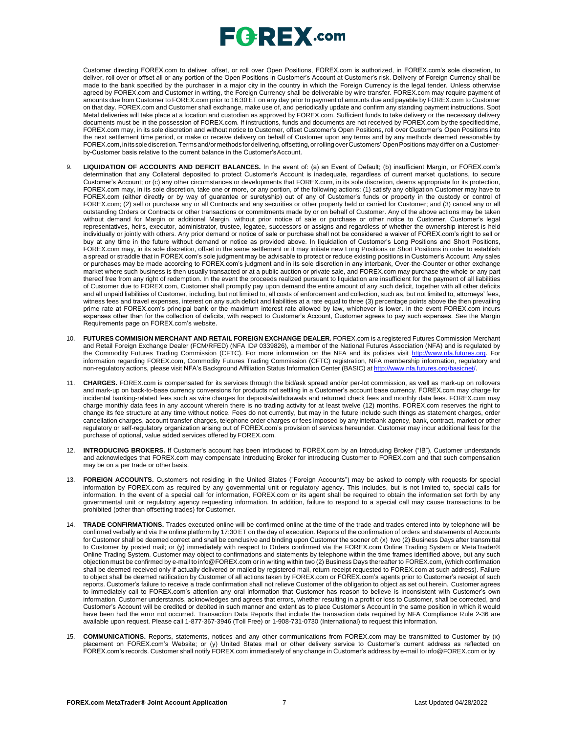

Customer directing FOREX.com to deliver, offset, or roll over Open Positions, FOREX.com is authorized, in FOREX.com's sole discretion, to deliver, roll over or offset all or any portion of the Open Positions in Customer's Account at Customer's risk. Delivery of Foreign Currency shall be made to the bank specified by the purchaser in a major city in the country in which the Foreign Currency is the legal tender. Unless otherwise agreed by FOREX.com and Customer in writing, the Foreign Currency shall be deliverable by wire transfer. FOREX.com may require payment of amounts due from Customer to FOREX.com prior to 16:30 ET on any day prior to payment of amounts due and payable by FOREX.com to Customer on that day. FOREX.com and Customer shall exchange, make use of, and periodically update and confirm any standing payment instructions. Spot Metal deliveries will take place at a location and custodian as approved by FOREX.com. Sufficient funds to take delivery or the necessary delivery documents must be in the possession of FOREX.com. If instructions, funds and documents are not received by FOREX.com by the specified time, FOREX.com may, in its sole discretion and without notice to Customer, offset Customer's Open Positions, roll over Customer's Open Positions into the next settlement time period, or make or receive delivery on behalf of Customer upon any terms and by any methods deemed reasonable by FOREX.com,initssolediscretion.Termsand/ormethods fordelivering, offsetting, orrollingoverCustomers' OpenPositions may differ on a Customerby-Customer basis relative to the current balance in the Customer'sAccount.

- 9. **LIQUIDATION OF ACCOUNTS AND DEFICIT BALANCES.** In the event of: (a) an Event of Default; (b) insufficient Margin, or FOREX.com's determination that any Collateral deposited to protect Customer's Account is inadequate, regardless of current market quotations, to secure Customer's Account; or (c) any other circumstances or developments that FOREX.com, in its sole discretion, deems appropriate for its protection, FOREX.com may, in its sole discretion, take one or more, or any portion, of the following actions: (1) satisfy any obligation Customer may have to FOREX.com (either directly or by way of guarantee or suretyship) out of any of Customer's funds or property in the custody or control of FOREX.com; (2) sell or purchase any or all Contracts and any securities or other property held or carried for Customer; and (3) cancel any or all outstanding Orders or Contracts or other transactions or commitments made by or on behalf of Customer. Any of the above actions may be taken without demand for Margin or additional Margin, without prior notice of sale or purchase or other notice to Customer, Customer's legal representatives, heirs, executor, administrator, trustee, legatee, successors or assigns and regardless of whether the ownership interest is held individually or jointly with others. Any prior demand or notice of sale or purchase shall not be considered a waiver of FOREX.com's right to sell or buy at any time in the future without demand or notice as provided above. In liquidation of Customer's Long Positions and Short Positions, FOREX.com may, in its sole discretion, offset in the same settlement or it may initiate new Long Positions or Short Positions in order to establish a spread or straddle that in FOREX.com's sole judgment may be advisable to protect or reduce existing positions in Customer's Account. Any sales or purchases may be made according to FOREX.com's judgment and in its sole discretion in any interbank, Over-the-Counter or other exchange market where such business is then usually transacted or at a public auction or private sale, and FOREX.com may purchase the whole or any part thereof free from any right of redemption. In the event the proceeds realized pursuant to liquidation are insufficient for the payment of all liabilities of Customer due to FOREX.com, Customer shall promptly pay upon demand the entire amount of any such deficit, together with all other deficits and all unpaid liabilities of Customer, including, but not limited to, all costs of enforcement and collection, such as, but not limited to, attorneys' fees, witness fees and travel expenses, interest on any such deficit and liabilities at a rate equal to three (3) percentage points above the then prevailing prime rate at FOREX.com's principal bank or the maximum interest rate allowed by law, whichever is lower. In the event FOREX.com incurs expenses other than for the collection of deficits, with respect to Customer's Account, Customer agrees to pay such expenses. See the Margin Requirements page on FOREX.com's website.
- 10. **FUTURES COMMISION MERCHANT AND RETAIL FOREIGN EXCHANGE DEALER.** FOREX.com is a registered Futures Commission Merchant and Retail Foreign Exchange Dealer (FCM/RFED) (NFA ID# 0339826), a member of the National Futures Association (NFA) and is regulated by the Commodity Futures Trading Commission (CFTC). For more information on the NFA and its policies visit [http://www.nfa.futures.org.](http://www.nfa.futures.org/) For information regarding FOREX.com, Commodity Futures Trading Commission (CFTC) registration, NFA membership information, regulatory and non-regulatory actions, please visit NFA's Background Affiliation Status Information Center (BASIC) at http://www.nfa.futures.org/basicnet/
- 11. **CHARGES.** FOREX.com is compensated for its services through the bid/ask spread and/or per-lot commission, as well as mark-up on rollovers and mark-up on back-to-base currency conversions for products not settling in a Customer's account base currency. FOREX.com may charge for incidental banking-related fees such as wire charges for deposits/withdrawals and returned check fees and monthly data fees. FOREX.com may charge monthly data fees in any account wherein there is no trading activity for at least twelve (12) months. FOREX.com reserves the right to change its fee structure at any time without notice. Fees do not currently, but may in the future include such things as statement charges, order cancellation charges, account transfer charges, telephone order charges or fees imposed by any interbank agency, bank, contract, market or other regulatory or self-regulatory organization arising out of FOREX.com's provision of services hereunder. Customer may incur additional fees for the purchase of optional, value added services offered by FOREX.com.
- 12. **INTRODUCING BROKERS.** If Customer's account has been introduced to FOREX.com by an Introducing Broker ("IB"), Customer understands and acknowledges that FOREX.com may compensate Introducing Broker for introducing Customer to FOREX.com and that such compensation may be on a per trade or other basis.
- 13. **FOREIGN ACCOUNTS.** Customers not residing in the United States ("Foreign Accounts") may be asked to comply with requests for special information by FOREX.com as required by any governmental unit or regulatory agency. This includes, but is not limited to, special calls for information. In the event of a special call for information, FOREX.com or its agent shall be required to obtain the information set forth by any governmental unit or regulatory agency requesting information. In addition, failure to respond to a special call may cause transactions to be prohibited (other than offsetting trades) for Customer.
- 14. **TRADE CONFIRMATIONS.** Trades executed online will be confirmed online at the time of the trade and trades entered into by telephone will be confirmed verbally and via the online platform by 17:30 ET on the day of execution. Reports of the confirmation of orders and statements of Accounts for Customer shall be deemed correct and shall be conclusive and binding upon Customer the sooner of: (x) two (2) Business Days after transmittal to Customer by posted mail; or (y) immediately with respect to Orders confirmed via the FOREX.com Online Trading System or MetaTrader® Online Trading System. Customer may object to confirmations and statements by telephone within the time frames identified above, but any such objection must be confirmed by e-mail to [info@FOREX.com](mailto:info@FOREX.com) or in writing within two (2) Business Days thereafter to FOREX.com, (which confirmation shall be deemed received only if actually delivered or mailed by registered mail, return receipt requested to FOREX.com at such address). Failure to object shall be deemed ratification by Customer of all actions taken by FOREX.com or FOREX.com's agents prior to Customer's receipt of such reports. Customer's failure to receive a trade confirmation shall not relieve Customer of the obligation to object as set out herein. Customer agrees to immediately call to FOREX.com's attention any oral information that Customer has reason to believe is inconsistent with Customer's own information. Customer understands, acknowledges and agrees that errors, whether resulting in a profit or loss to Customer, shall be corrected, and Customer's Account will be credited or debited in such manner and extent as to place Customer's Account in the same position in which it would have been had the error not occurred. Transaction Data Reports that include the transaction data required by NFA Compliance Rule 2-36 are available upon request. Please call 1-877-367-3946 (Toll Free) or 1-908-731-0730 (International) to request this information.
- 15. **COMMUNICATIONS.** Reports, statements, notices and any other communications from FOREX.com may be transmitted to Customer by (x) placement on FOREX.com's Website; or (y) United States mail or other delivery service to Customer's current address as reflected on FOREX.com's records. Customer shall notify FOREX.com immediately of any change in Customer's address by e-mail to [info@FOREX.com](mailto:info@FOREX.com) or by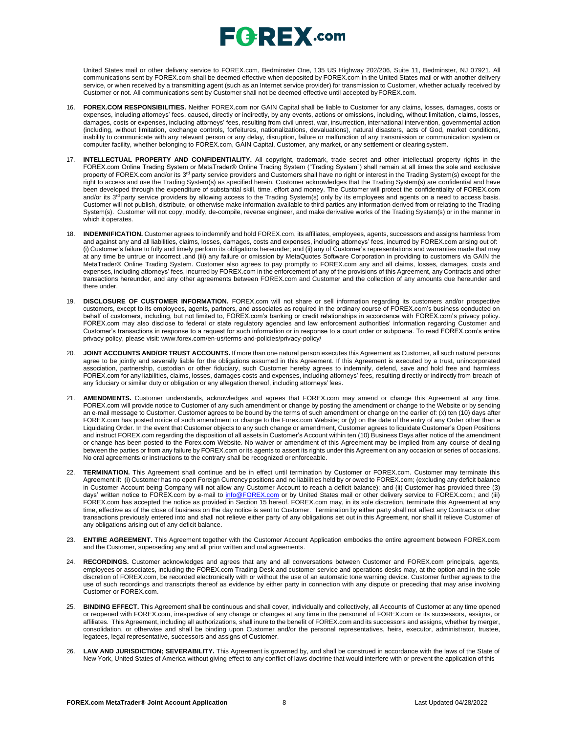# $E$ **G**  $R$ **EX** .com

United States mail or other delivery service to FOREX.com, Bedminster One, 135 US Highway 202/206, Suite 11, Bedminster, NJ 07921. All communications sent by FOREX.com shall be deemed effective when deposited by FOREX.com in the United States mail or with another delivery service, or when received by a transmitting agent (such as an Internet service provider) for transmission to Customer, whether actually received by Customer or not. All communications sent by Customer shall not be deemed effective until accepted byFOREX.com.

- 16. **FOREX.COM RESPONSIBILITIES.** Neither FOREX.com nor GAIN Capital shall be liable to Customer for any claims, losses, damages, costs or expenses, including attorneys' fees, caused, directly or indirectly, by any events, actions or omissions, including, without limitation, claims, losses, damages, costs or expenses, including attorneys' fees, resulting from civil unrest, war, insurrection, international intervention, governmental action (including, without limitation, exchange controls, forfeitures, nationalizations, devaluations), natural disasters, acts of God, market conditions, inability to communicate with any relevant person or any delay, disruption, failure or malfunction of any transmission or communication system or computer facility, whether belonging to FOREX.com, GAIN Capital, Customer, any market, or any settlement or clearingsystem.
- 17. **INTELLECTUAL PROPERTY AND CONFIDENTIALITY.** All copyright, trademark, trade secret and other intellectual property rights in the FOREX.com Online Trading System or MetaTrader® Online Trading System ("Trading System") shall remain at all times the sole and exclusive property of FOREX.com and/or its 3<sup>rd</sup> party service providers and Customers shall have no right or interest in the Trading System(s) except for the right to access and use the Trading System(s) as specified herein. Customer acknowledges that the Trading System(s) are confidential and have been developed through the expenditure of substantial skill, time, effort and money. The Customer will protect the confidentiality of FOREX.com and/or its 3<sup>rd</sup> party service providers by allowing access to the Trading System(s) only by its employees and agents on a need to access basis. Customer will not publish, distribute, or otherwise make information available to third parties any information derived from or relating to the Trading System(s). Customer will not copy, modify, de-compile, reverse engineer, and make derivative works of the Trading System(s) or in the manner in which it operates.
- 18. **INDEMNIFICATION.** Customer agrees to indemnify and hold FOREX.com, its affiliates, employees, agents, successors and assigns harmless from and against any and all liabilities, claims, losses, damages, costs and expenses, including attorneys' fees, incurred by FOREX.com arising out of: (i) Customer's failure to fully and timely perform its obligations hereunder; and (ii) any of Customer's representations and warranties made that may at any time be untrue or incorrect .and (iii) any failure or omission by MetaQuotes Software Corporation in providing to customers via GAIN the MetaTrader® Online Trading System. Customer also agrees to pay promptly to FOREX.com any and all claims, losses, damages, costs and expenses, including attorneys' fees, incurred by FOREX.com in the enforcement of any of the provisions of this Agreement, any Contracts and other transactions hereunder, and any other agreements between FOREX.com and Customer and the collection of any amounts due hereunder and there under.
- 19. **DISCLOSURE OF CUSTOMER INFORMATION.** FOREX.com will not share or sell information regarding its customers and/or prospective customers, except to its employees, agents, partners, and associates as required in the ordinary course of FOREX.com's business conducted on behalf of customers, including, but not limited to, FOREX.com's banking or credit relationships in accordance with FOREX.com's privacy policy. FOREX.com may also disclose to federal or state regulatory agencies and law enforcement authorities' information regarding Customer and Customer's transactions in response to a request for such information or in response to a court order or subpoena. To read FOREX.com's entire privacy policy, please visit: [www.forex.com/en-us/terms-and-policies/privacy-policy/](http://www.forex.com/en-us/terms-and-policies/privacy-policy/)
- 20. **JOINT ACCOUNTS AND/OR TRUST ACCOUNTS.** If more than one natural person executes this Agreement as Customer, all such natural persons agree to be jointly and severally liable for the obligations assumed in this Agreement. If this Agreement is executed by a trust, unincorporated association, partnership, custodian or other fiduciary, such Customer hereby agrees to indemnify, defend, save and hold free and harmless FOREX.com for any liabilities, claims, losses, damages costs and expenses, including attorneys' fees, resulting directly or indirectly from breach of any fiduciary or similar duty or obligation or any allegation thereof, including attorneys' fees.
- 21. **AMENDMENTS.** Customer understands, acknowledges and agrees that FOREX.com may amend or change this Agreement at any time. FOREX.com will provide notice to Customer of any such amendment or change by posting the amendment or change to the Website or by sending an e-mail message to Customer. Customer agrees to be bound by the terms of such amendment or change on the earlier of: (x) ten (10) days after FOREX.com has posted notice of such amendment or change to the Forex.com Website; or (y) on the date of the entry of any Order other than a Liquidating Order. In the event that Customer objects to any such change or amendment, Customer agrees to liquidate Customer's Open Positions and instruct FOREX.com regarding the disposition of all assets in Customer's Account within ten (10) Business Days after notice of the amendment or change has been posted to the Forex.com Website. No waiver or amendment of this Agreement may be implied from any course of dealing between the parties or from any failure by FOREX.com or its agents to assert its rights under this Agreement on any occasion or series of occasions. No oral agreements or instructions to the contrary shall be recognized or enforceable.
- 22. **TERMINATION.** This Agreement shall continue and be in effect until termination by Customer or FOREX.com. Customer may terminate this Agreement if: (i) Customer has no open Foreign Currency positions and no liabilities held by or owed to FOREX.com; (excluding any deficit balance in Customer Account being Company will not allow any Customer Account to reach a deficit balance); and (ii) Customer has provided three (3) days' written notice to FOREX.com by e-mail to *[info@FOREX.com](mailto:info@fxadvantage.com)* or by United States mail or other delivery service to FOREX.com.; and (iii) FOREX.com has accepted the notice as provided in Section 15 hereof. FOREX.com may, in its sole discretion, terminate this Agreement at any time, effective as of the close of business on the day notice is sent to Customer. Termination by either party shall not affect any Contracts or other transactions previously entered into and shall not relieve either party of any obligations set out in this Agreement, nor shall it relieve Customer of any obligations arising out of any deficit balance.
- 23. **ENTIRE AGREEMENT.** This Agreement together with the Customer Account Application embodies the entire agreement between FOREX.com and the Customer, superseding any and all prior written and oral agreements.
- 24. **RECORDINGS.** Customer acknowledges and agrees that any and all conversations between Customer and FOREX.com principals, agents, employees or associates, including the FOREX.com Trading Desk and customer service and operations desks may, at the option and in the sole discretion of FOREX.com, be recorded electronically with or without the use of an automatic tone warning device. Customer further agrees to the use of such recordings and transcripts thereof as evidence by either party in connection with any dispute or preceding that may arise involving Customer or FOREX.com.
- 25. **BINDING EFFECT.** This Agreement shall be continuous and shall cover, individually and collectively, all Accounts of Customer at any time opened or reopened with FOREX.com, irrespective of any change or changes at any time in the personnel of FOREX.com or its successors, assigns, or affiliates. This Agreement, including all authorizations, shall inure to the benefit of FOREX.com and its successors and assigns, whether by merger, consolidation, or otherwise and shall be binding upon Customer and/or the personal representatives, heirs, executor, administrator, trustee, legatees, legal representative, successors and assigns of Customer.
- 26. **LAW AND JURISDICTION; SEVERABILITY.** This Agreement is governed by, and shall be construed in accordance with the laws of the State of New York, United States of America without giving effect to any conflict of laws doctrine that would interfere with or prevent the application of this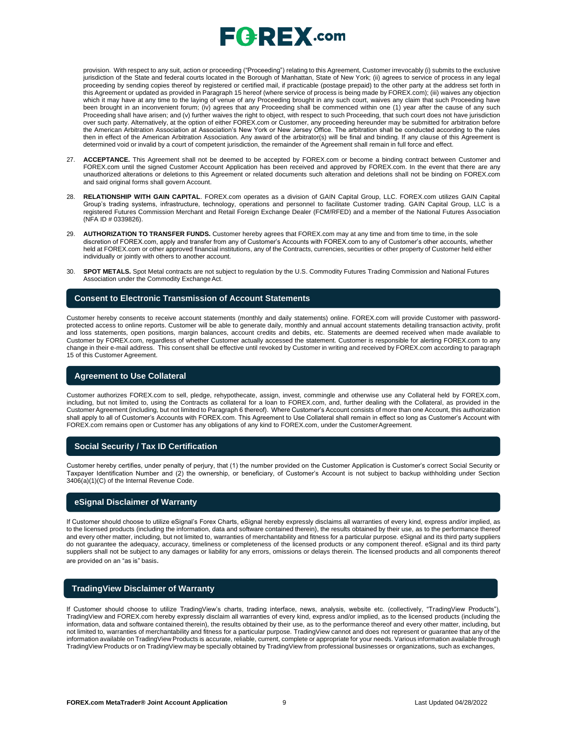

provision. With respect to any suit, action or proceeding ("Proceeding") relating to this Agreement, Customer irrevocably (i) submits to the exclusive jurisdiction of the State and federal courts located in the Borough of Manhattan, State of New York; (ii) agrees to service of process in any legal proceeding by sending copies thereof by registered or certified mail, if practicable (postage prepaid) to the other party at the address set forth in this Agreement or updated as provided in Paragraph 15 hereof (where service of process is being made by FOREX.com); (iii) waives any objection which it may have at any time to the laying of venue of any Proceeding brought in any such court, waives any claim that such Proceeding have been brought in an inconvenient forum; (iv) agrees that any Proceeding shall be commenced within one (1) year after the cause of any such Proceeding shall have arisen; and (v) further waives the right to object, with respect to such Proceeding, that such court does not have jurisdiction over such party. Alternatively, at the option of either FOREX.com or Customer, any proceeding hereunder may be submitted for arbitration before the American Arbitration Association at Association's New York or New Jersey Office. The arbitration shall be conducted according to the rules then in effect of the American Arbitration Association. Any award of the arbitrator(s) will be final and binding. If any clause of this Agreement is determined void or invalid by a court of competent jurisdiction, the remainder of the Agreement shall remain in full force and effect.

- 27. **ACCEPTANCE.** This Agreement shall not be deemed to be accepted by FOREX.com or become a binding contract between Customer and FOREX.com until the signed Customer Account Application has been received and approved by FOREX.com. In the event that there are any unauthorized alterations or deletions to this Agreement or related documents such alteration and deletions shall not be binding on FOREX.com and said original forms shall govern Account.
- 28. **RELATIONSHIP WITH GAIN CAPITAL**. FOREX.com operates as a division of GAIN Capital Group, LLC. FOREX.com utilizes GAIN Capital Group's trading systems, infrastructure, technology, operations and personnel to facilitate Customer trading. GAIN Capital Group, LLC is a registered Futures Commission Merchant and Retail Foreign Exchange Dealer (FCM/RFED) and a member of the National Futures Association (NFA ID # 0339826).
- 29. **AUTHORIZATION TO TRANSFER FUNDS.** Customer hereby agrees that FOREX.com may at any time and from time to time, in the sole discretion of FOREX.com, apply and transfer from any of Customer's Accounts with FOREX.com to any of Customer's other accounts, whether held at FOREX.com or other approved financial institutions, any of the Contracts, currencies, securities or other property of Customer held either individually or jointly with others to another account.
- 30. **SPOT METALS.** Spot Metal contracts are not subject to regulation by the U.S. Commodity Futures Trading Commission and National Futures Association under the Commodity Exchange Act.

#### **Consent to Electronic Transmission of Account Statements**

Customer hereby consents to receive account statements (monthly and daily statements) online. FOREX.com will provide Customer with passwordprotected access to online reports. Customer will be able to generate daily, monthly and annual account statements detailing transaction activity, profit and loss statements, open positions, margin balances, account credits and debits, etc. Statements are deemed received when made available to Customer by FOREX.com, regardless of whether Customer actually accessed the statement. Customer is responsible for alerting FOREX.com to any change in their e-mail address. This consent shall be effective until revoked by Customer in writing and received by FOREX.com according to paragraph 15 of this Customer Agreement.

#### **Agreement to Use Collateral**

Customer authorizes FOREX.com to sell, pledge, rehypothecate, assign, invest, commingle and otherwise use any Collateral held by FOREX.com, including, but not limited to, using the Contracts as collateral for a loan to FOREX.com, and, further dealing with the Collateral, as provided in the Customer Agreement (including, but not limited to Paragraph 6 thereof). Where Customer's Account consists of more than one Account, this authorization shall apply to all of Customer's Accounts with FOREX.com. This Agreement to Use Collateral shall remain in effect so long as Customer's Account with FOREX.com remains open or Customer has any obligations of any kind to FOREX.com, under the CustomerAgreement.

#### **Social Security / Tax ID Certification**

Customer hereby certifies, under penalty of perjury, that (1) the number provided on the Customer Application is Customer's correct Social Security or Taxpayer Identification Number and (2) the ownership, or beneficiary, of Customer's Account is not subject to backup withholding under Section 3406(a)(1)(C) of the Internal Revenue Code.

## **eSignal Disclaimer of Warranty**

If Customer should choose to utilize eSignal's Forex Charts, eSignal hereby expressly disclaims all warranties of every kind, express and/or implied, as to the licensed products (including the information, data and software contained therein), the results obtained by their use, as to the performance thereof and every other matter, including, but not limited to, warranties of merchantability and fitness for a particular purpose. eSignal and its third party suppliers do not guarantee the adequacy, accuracy, timeliness or completeness of the licensed products or any component thereof. eSignal and its third party suppliers shall not be subject to any damages or liability for any errors, omissions or delays therein. The licensed products and all components thereof are provided on an "as is" basis.

#### **TradingView Disclaimer of Warranty**

If Customer should choose to utilize TradingView's charts, trading interface, news, analysis, website etc. (collectively, "TradingView Products"), TradingView and FOREX.com hereby expressly disclaim all warranties of every kind, express and/or implied, as to the licensed products (including the information, data and software contained therein), the results obtained by their use, as to the performance thereof and every other matter, including, but not limited to, warranties of merchantability and fitness for a particular purpose. TradingView cannot and does not represent or guarantee that any of the information available on TradingView Products is accurate, reliable, current, complete or appropriate for your needs. Various information available through TradingView Products or on TradingView may be specially obtained by TradingView from professional businesses or organizations, such as exchanges,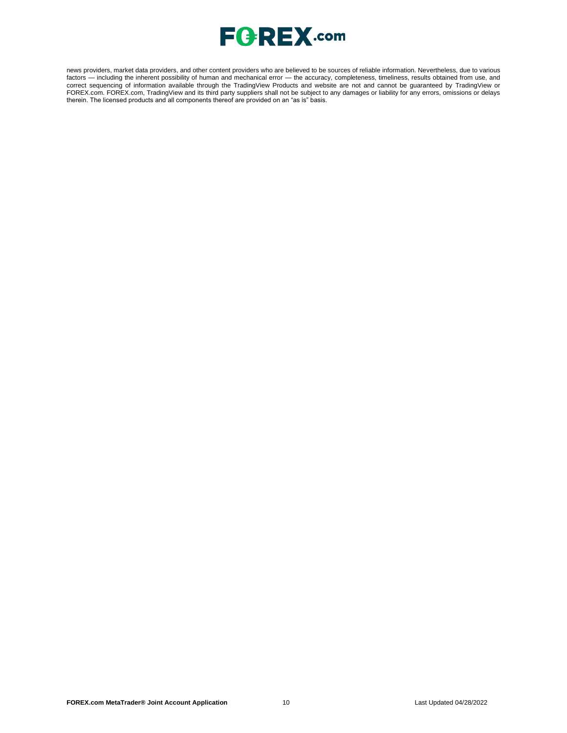

news providers, market data providers, and other content providers who are believed to be sources of reliable information. Nevertheless, due to various factors — including the inherent possibility of human and mechanical error — the accuracy, completeness, timeliness, results obtained from use, and correct sequencing of information available through the TradingView Products and website are not and cannot be guaranteed by TradingView or FOREX.com. FOREX.com, TradingView and its third party suppliers shall not be subject to any damages or liability for any errors, omissions or delays therein. The licensed products and all components thereof are provided on an "as is" basis.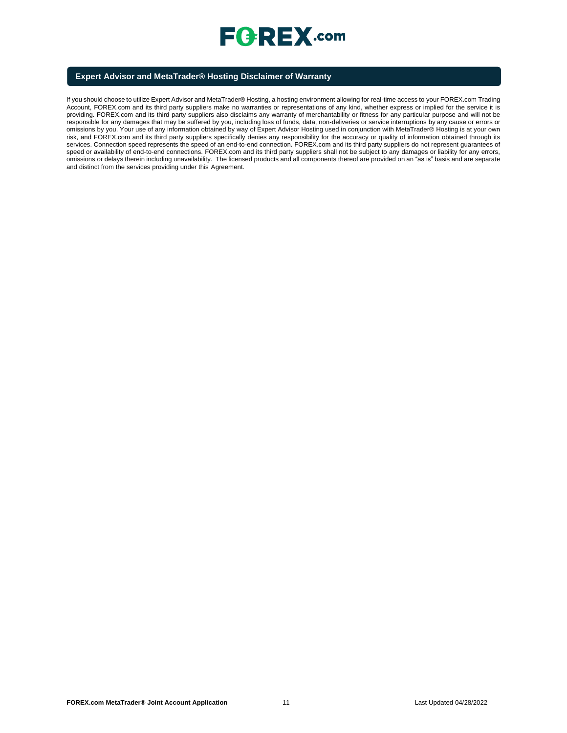

## **Expert Advisor and MetaTrader® Hosting Disclaimer of Warranty**

If you should choose to utilize Expert Advisor and MetaTrader® Hosting, a hosting environment allowing for real-time access to your FOREX.com Trading Account, FOREX.com and its third party suppliers make no warranties or representations of any kind, whether express or implied for the service it is providing. FOREX.com and its third party suppliers also disclaims any warranty of merchantability or fitness for any particular purpose and will not be responsible for any damages that may be suffered by you, including loss of funds, data, non-deliveries or service interruptions by any cause or errors or omissions by you. Your use of any information obtained by way of Expert Advisor Hosting used in conjunction with MetaTrader® Hosting is at your own risk, and FOREX.com and its third party suppliers specifically denies any responsibility for the accuracy or quality of information obtained through its services. Connection speed represents the speed of an end-to-end connection. FOREX.com and its third party suppliers do not represent guarantees of speed or availability of end-to-end connections. FOREX.com and its third party suppliers shall not be subject to any damages or liability for any errors, omissions or delays therein including unavailability. The licensed products and all components thereof are provided on an "as is" basis and are separate and distinct from the services providing under this Agreement.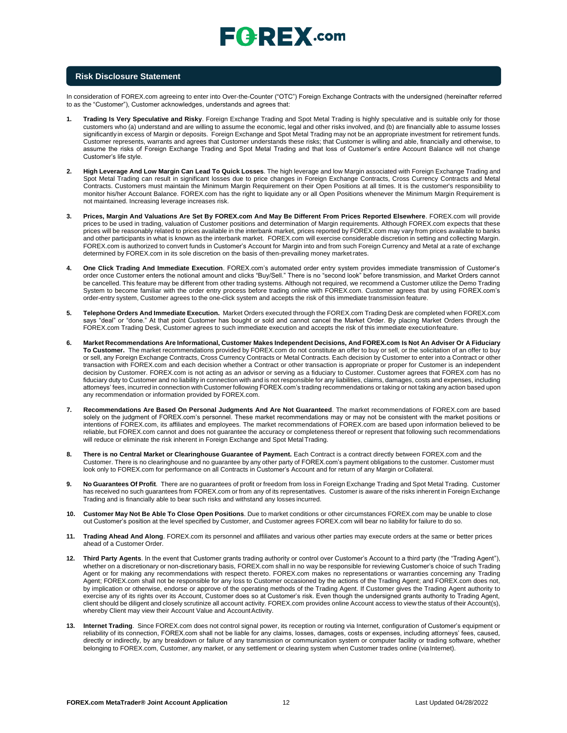

### **Risk Disclosure Statement**

In consideration of FOREX.com agreeing to enter into Over-the-Counter ("OTC") Foreign Exchange Contracts with the undersigned (hereinafter referred to as the "Customer"), Customer acknowledges, understands and agrees that:

- **1. Trading Is Very Speculative and Risky**. Foreign Exchange Trading and Spot Metal Trading is highly speculative and is suitable only for those customers who (a) understand and are willing to assume the economic, legal and other risks involved, and (b) are financially able to assume losses significantly in excess of Margin or deposits. Foreign Exchange and Spot Metal Trading may not be an appropriate investment for retirement funds. Customer represents, warrants and agrees that Customer understands these risks; that Customer is willing and able, financially and otherwise, to assume the risks of Foreign Exchange Trading and Spot Metal Trading and that loss of Customer's entire Account Balance will not change Customer's life style.
- **2. High Leverage And Low Margin Can Lead To Quick Losses**. The high leverage and low Margin associated with Foreign Exchange Trading and Spot Metal Trading can result in significant losses due to price changes in Foreign Exchange Contracts, Cross Currency Contracts and Metal Contracts. Customers must maintain the Minimum Margin Requirement on their Open Positions at all times. It is the customer's responsibility to monitor his/her Account Balance. FOREX.com has the right to liquidate any or all Open Positions whenever the Minimum Margin Requirement is not maintained. Increasing leverage increases risk.
- **3. Prices, Margin And Valuations Are Set By FOREX.com And May Be Different From Prices Reported Elsewhere**. FOREX.com will provide prices to be used in trading, valuation of Customer positions and determination of Margin requirements. Although FOREX.com expects that these prices will be reasonably related to prices available in the interbank market, prices reported by FOREX.com may vary from prices available to banks and other participants in what is known as the interbank market. FOREX.com will exercise considerable discretion in setting and collecting Margin. FOREX.com is authorized to convert funds in Customer's Account for Margin into and from such Foreign Currency and Metal at a rate of exchange determined by FOREX.com in its sole discretion on the basis of then-prevailing money marketrates.
- **4. One Click Trading And Immediate Execution**. FOREX.com's automated order entry system provides immediate transmission of Customer's order once Customer enters the notional amount and clicks "Buy/Sell." There is no "second look" before transmission, and Market Orders cannot be cancelled. This feature may be different from other trading systems. Although not required, we recommend a Customer utilize the Demo Trading System to become familiar with the order entry process before trading online with FOREX.com. Customer agrees that by using FOREX.com's order-entry system, Customer agrees to the one-click system and accepts the risk of this immediate transmission feature.
- **5. Telephone Orders And Immediate Execution.** Market Orders executed through the FOREX.com Trading Desk are completed when FOREX.com says "deal" or "done." At that point Customer has bought or sold and cannot cancel the Market Order. By placing Market Orders through the FOREX.com Trading Desk, Customer agrees to such immediate execution and accepts the risk of this immediate executionfeature.
- 6. Market Recommendations Are Informational, Customer Makes Independent Decisions, And FOREX.com Is Not An Adviser Or A Fiduciary **To Customer.** The market recommendations provided by FOREX.com do not constitute an offer to buy or sell, or the solicitation of an offer to buy or sell, any Foreign Exchange Contracts, Cross Currency Contracts or Metal Contracts. Each decision by Customer to enter into a Contract or other transaction with FOREX.com and each decision whether a Contract or other transaction is appropriate or proper for Customer is an independent decision by Customer. FOREX.com is not acting as an advisor or serving as a fiduciary to Customer. Customer agrees that FOREX.com has no fiduciary duty to Customer and no liability in connection with and is not responsible for any liabilities, claims, damages, costs and expenses, including attorneys' fees, incurred in connection with Customer following FOREX.com's trading recommendations or taking or not taking any action based upon any recommendation or information provided by FOREX.com.
- **7. Recommendations Are Based On Personal Judgments And Are Not Guaranteed**. The market recommendations of FOREX.com are based solely on the judgment of FOREX.com's personnel. These market recommendations may or may not be consistent with the market positions or intentions of FOREX.com, its affiliates and employees. The market recommendations of FOREX.com are based upon information believed to be reliable, but FOREX.com cannot and does not guarantee the accuracy or completeness thereof or represent that following such recommendations will reduce or eliminate the risk inherent in Foreign Exchange and Spot Metal Trading.
- **8. There is no Central Market or Clearinghouse Guarantee of Payment.** Each Contract is a contract directly between FOREX.com and the Customer. There is no clearinghouse and no guarantee by any other party of FOREX.com's payment obligations to the customer. Customer must look only to FOREX.com for performance on all Contracts in Customer's Account and for return of any Margin or Collateral.
- **9. No Guarantees Of Profit**. There are no guarantees of profit or freedom from loss in Foreign Exchange Trading and Spot Metal Trading. Customer has received no such guarantees from FOREX.com or from any of its representatives. Customer is aware of the risks inherent in Foreign Exchange Trading and is financially able to bear such risks and withstand any losses incurred.
- **10. Customer May Not Be Able To Close Open Positions**. Due to market conditions or other circumstances FOREX.com may be unable to close out Customer's position at the level specified by Customer, and Customer agrees FOREX.com will bear no liability for failure to do so.
- **11. Trading Ahead And Along**. FOREX.com its personnel and affiliates and various other parties may execute orders at the same or better prices ahead of a Customer Order.
- **12. Third Party Agents**. In the event that Customer grants trading authority or control over Customer's Account to a third party (the "Trading Agent"), whether on a discretionary or non-discretionary basis, FOREX.com shall in no way be responsible for reviewing Customer's choice of such Trading Agent or for making any recommendations with respect thereto. FOREX.com makes no representations or warranties concerning any Trading Agent; FOREX.com shall not be responsible for any loss to Customer occasioned by the actions of the Trading Agent; and FOREX.com does not, by implication or otherwise, endorse or approve of the operating methods of the Trading Agent. If Customer gives the Trading Agent authority to exercise any of its rights over its Account, Customer does so at Customer's risk. Even though the undersigned grants authority to Trading Agent, client should be diligent and closely scrutinize all account activity. FOREX.com provides online Account access to view the status of their Account(s), whereby Client may view their Account Value and Account Activity.
- **13. Internet Trading**. Since FOREX.com does not control signal power, its reception or routing via Internet, configuration of Customer's equipment or reliability of its connection, FOREX.com shall not be liable for any claims, losses, damages, costs or expenses, including attorneys' fees, caused, directly or indirectly, by any breakdown or failure of any transmission or communication system or computer facility or trading software, whether belonging to FOREX.com, Customer, any market, or any settlement or clearing system when Customer trades online (viaInternet).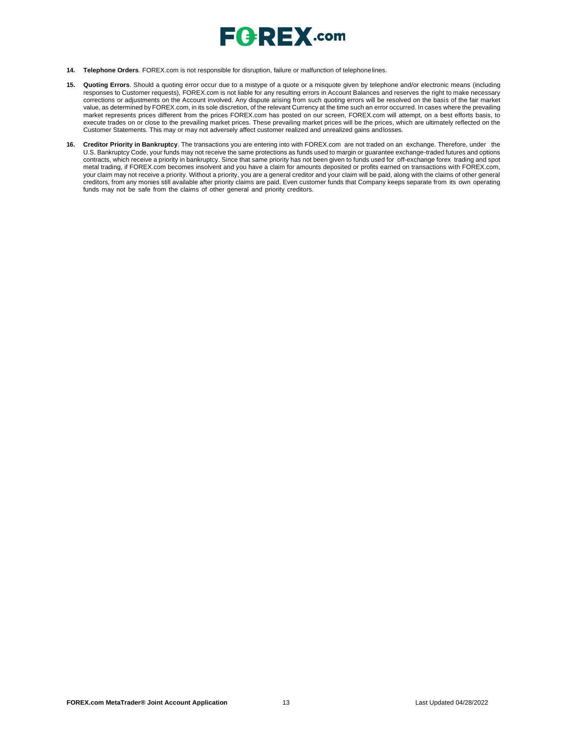

- **14. Telephone Orders**. FOREX.com is not responsible for disruption, failure or malfunction of telephonelines.
- **15. Quoting Errors**. Should a quoting error occur due to a mistype of a quote or a misquote given by telephone and/or electronic means (including responses to Customer requests), FOREX.com is not liable for any resulting errors in Account Balances and reserves the right to make necessary corrections or adjustments on the Account involved. Any dispute arising from such quoting errors will be resolved on the basis of the fair market value, as determined by FOREX.com, in its sole discretion, of the relevant Currency at the time such an error occurred. In cases where the prevailing market represents prices different from the prices FOREX.com has posted on our screen, FOREX.com will attempt, on a best efforts basis, to execute trades on or close to the prevailing market prices. These prevailing market prices will be the prices, which are ultimately reflected on the Customer Statements. This may or may not adversely affect customer realized and unrealized gains andlosses.
- **16. Creditor Priority in Bankruptcy**. The transactions you are entering into with FOREX.com are not traded on an exchange. Therefore, under the U.S. Bankruptcy Code, your funds may not receive the same protections as funds used to margin or guarantee exchange-traded futures and options contracts, which receive a priority in bankruptcy. Since that same priority has not been given to funds used for off-exchange forex trading and spot metal trading, if FOREX.com becomes insolvent and you have a claim for amounts deposited or profits earned on transactions with FOREX.com, your claim may not receive a priority. Without a priority, you are a general creditor and your claim will be paid, along with the claims of other general creditors, from any monies still available after priority claims are paid. Even customer funds that Company keeps separate from its own operating funds may not be safe from the claims of other general and priority creditors.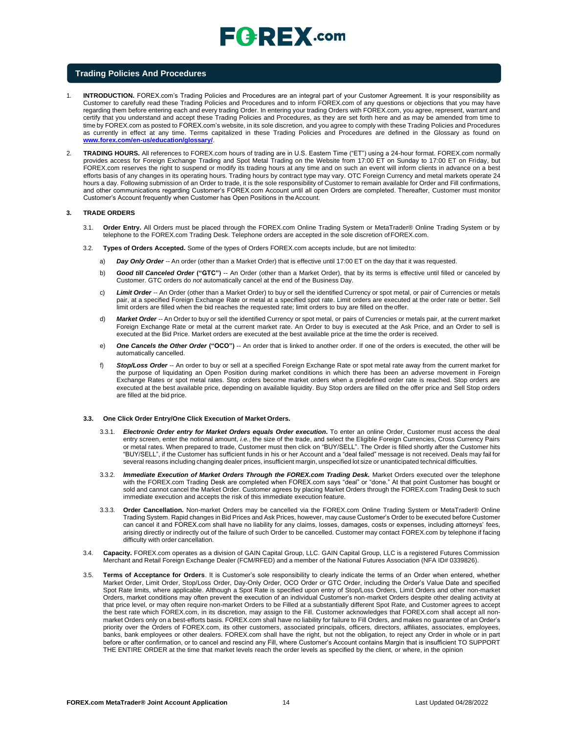#### **Trading Policies And Procedures**

- 1. **INTRODUCTION.** FOREX.com's Trading Policies and Procedures are an integral part of your Customer Agreement. It is your responsibility as Customer to carefully read these Trading Policies and Procedures and to inform FOREX.com of any questions or objections that you may have regarding them before entering each and every trading Order. In entering your trading Orders with FOREX.com, you agree, represent, warrant and certify that you understand and accept these Trading Policies and Procedures, as they are set forth here and as may be amended from time to time by FOREX.com as posted to FOREX.com's website, in its sole discretion, and you agree to comply with these Trading Policies and Procedures as currently in effect at any time. Terms capitalized in these Trading Policies and Procedures are defined in the Glossary as found o[n](http://www.forex.com/en-us/education/glossary/) **[www.forex.com/en-us/education/glossary/](http://www.forex.com/en-us/education/glossary/)**.
- 2. **TRADING HOURS.** All references to FOREX.com hours of trading are in U.S. Eastern Time ("ET") using a 24-hour format. FOREX.com normally provides access for Foreign Exchange Trading and Spot Metal Trading on the Website from 17:00 ET on Sunday to 17:00 ET on Friday, but FOREX.com reserves the right to suspend or modify its trading hours at any time and on such an event will inform clients in advance on a best efforts basis of any changes in its operating hours. Trading hours by contract type may vary. OTC Foreign Currency and metal markets operate 24 hours a day. Following submission of an Order to trade, it is the sole responsibility of Customer to remain available for Order and Fill confirmations, and other communications regarding Customer's FOREX.com Account until all open Orders are completed. Thereafter, Customer must monitor Customer's Account frequently when Customer has Open Positions in theAccount.

#### **3. TRADE ORDERS**

- 3.1. **Order Entry.** All Orders must be placed through the FOREX.com Online Trading System or MetaTrader® Online Trading System or by telephone to the FOREX.com Trading Desk. Telephone orders are accepted in the sole discretion ofFOREX.com.
- 3.2. **Types of Orders Accepted.** Some of the types of Orders FOREX.com accepts include, but are not limitedto:
	- a) *Day Only Order --* An order (other than a Market Order) that is effective until 17:00 ET on the day that it was requested.
	- b) **Good till Canceled Order ("GTC")** -- An Order (other than a Market Order), that by its terms is effective until filled or canceled by Customer. GTC orders do *not* automatically cancel at the end of the Business Day.
	- c) *Limit Order --* An Order (other than a Market Order) to buy or sell the identified Currency or spot metal, or pair of Currencies or metals pair, at a specified Foreign Exchange Rate or metal at a specified spot rate. Limit orders are executed at the order rate or better. Sell limit orders are filled when the bid reaches the requested rate; limit orders to buy are filled on theoffer.
	- d) *Market Order --* An Order to buy or sell the identified Currency or spot metal, or pairs of Currencies or metals pair, at the current market Foreign Exchange Rate or metal at the current market rate. An Order to buy is executed at the Ask Price, and an Order to sell is executed at the Bid Price. Market orders are executed at the best available price at the time the order is received.
	- e) *One Cancels the Other Order* **("OCO")** -- An order that is linked to another order. If one of the orders is executed, the other will be automatically cancelled.
	- f) *Stop/Loss Order --* An order to buy or sell at a specified Foreign Exchange Rate or spot metal rate away from the current market for the purpose of liquidating an Open Position during market conditions in which there has been an adverse movement in Foreign Exchange Rates or spot metal rates. Stop orders become market orders when a predefined order rate is reached. Stop orders are executed at the best available price, depending on available liquidity. Buy Stop orders are filled on the offer price and Sell Stop orders are filled at the bid price.

#### **3.3. One Click Order Entry/One Click Execution of Market Orders.**

- 3.3.1. *Electronic Order entry for Market Orders equals Order execution***.** To enter an online Order, Customer must access the deal entry screen, enter the notional amount, *i.e.*, the size of the trade, and select the Eligible Foreign Currencies, Cross Currency Pairs or metal rates. When prepared to trade, Customer must then click on "BUY/SELL". The Order is filled shortly after the Customer hits "BUY/SELL", if the Customer has sufficient funds in his or her Account and a "deal failed" message is not received. Deals may fail for several reasons including changing dealer prices, insufficient margin, unspecified lot size or unanticipated technical difficulties.
- 3.3.2. *Immediate Execution of Market Orders Through the FOREX.com Trading Desk.* Market Orders executed over the telephone with the FOREX.com Trading Desk are completed when FOREX.com says "deal" or "done." At that point Customer has bought or sold and cannot cancel the Market Order. Customer agrees by placing Market Orders through the FOREX.com Trading Desk to such immediate execution and accepts the risk of this immediate execution feature.
- 3.3.3. **Order Cancellation.** Non-market Orders may be cancelled via the FOREX.com Online Trading System or MetaTrader® Online Trading System. Rapid changes in Bid Prices and Ask Prices, however, may cause Customer's Order to be executed before Customer can cancel it and FOREX.com shall have no liability for any claims, losses, damages, costs or expenses, including attorneys' fees, arising directly or indirectly out of the failure of such Order to be cancelled. Customer may contact FOREX.com by telephone if facing difficulty with order cancellation.
- 3.4. **Capacity.** FOREX.com operates as a division of GAIN Capital Group, LLC. GAIN Capital Group, LLC is a registered Futures Commission Merchant and Retail Foreign Exchange Dealer (FCM/RFED) and a member of the National Futures Association (NFA ID# 0339826).
- 3.5. **Terms of Acceptance for Orders**. It is Customer's sole responsibility to clearly indicate the terms of an Order when entered, whether Market Order, Limit Order, Stop/Loss Order, Day-Only Order, OCO Order or GTC Order, including the Order's Value Date and specified Spot Rate limits, where applicable. Although a Spot Rate is specified upon entry of Stop/Loss Orders, Limit Orders and other non-market Orders, market conditions may often prevent the execution of an individual Customer's non-market Orders despite other dealing activity at that price level, or may often require non-market Orders to be Filled at a substantially different Spot Rate, and Customer agrees to accept the best rate which FOREX.com, in its discretion, may assign to the Fill. Customer acknowledges that FOREX.com shall accept all nonmarket Orders only on a best-efforts basis. FOREX.com shall have no liability for failure to Fill Orders, and makes no guarantee of an Order's priority over the Orders of FOREX.com, its other customers, associated principals, officers, directors, affiliates, associates, employees, banks, bank employees or other dealers. FOREX.com shall have the right, but not the obligation, to reject any Order in whole or in part before or after confirmation, or to cancel and rescind any Fill, where Customer's Account contains Margin that is insufficient TO SUPPORT THE ENTIRE ORDER at the time that market levels reach the order levels as specified by the client, or where, in the opinion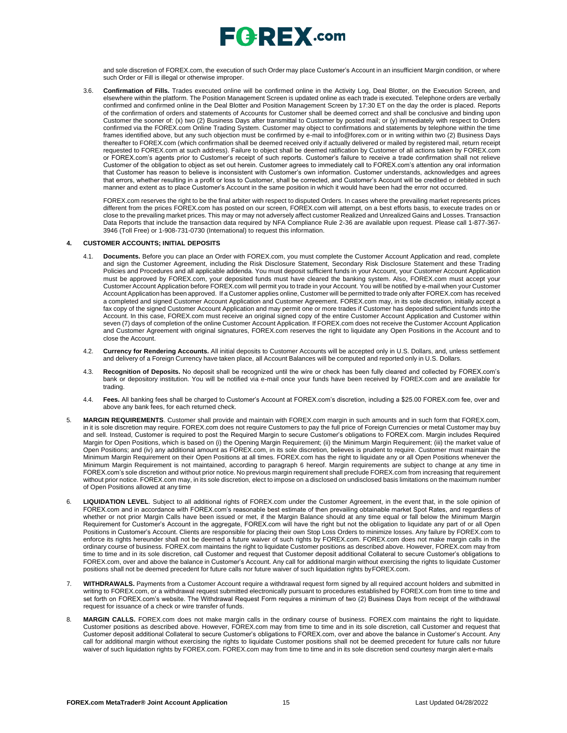

and sole discretion of FOREX.com, the execution of such Order may place Customer's Account in an insufficient Margin condition, or where such Order or Fill is illegal or otherwise improper.

3.6. **Confirmation of Fills.** Trades executed online will be confirmed online in the Activity Log, Deal Blotter, on the Execution Screen, and elsewhere within the platform. The Position Management Screen is updated online as each trade is executed. Telephone orders are verbally confirmed and confirmed online in the Deal Blotter and Position Management Screen by 17:30 ET on the day the order is placed. Reports of the confirmation of orders and statements of Accounts for Customer shall be deemed correct and shall be conclusive and binding upon Customer the sooner of: (x) two (2) Business Days after transmittal to Customer by posted mail; or (y) immediately with respect to Orders confirmed via the FOREX.com Online Trading System. Customer may object to confirmations and statements by telephone within the time frames identified above, but any such objection must be confirmed by e-mail t[o info@forex.com o](mailto:info@forex.com)r in writing within two (2) Business Days thereafter to FOREX.com (which confirmation shall be deemed received only if actually delivered or mailed by registered mail, return receipt requested to FOREX.com at such address). Failure to object shall be deemed ratification by Customer of all actions taken by FOREX.com or FOREX.com's agents prior to Customer's receipt of such reports. Customer's failure to receive a trade confirmation shall not relieve Customer of the obligation to object as set out herein. Customer agrees to immediately call to FOREX.com's attention any oral information that Customer has reason to believe is inconsistent with Customer's own information. Customer understands, acknowledges and agrees that errors, whether resulting in a profit or loss to Customer, shall be corrected, and Customer's Account will be credited or debited in such manner and extent as to place Customer's Account in the same position in which it would have been had the error not occurred.

FOREX.com reserves the right to be the final arbiter with respect to disputed Orders. In cases where the prevailing market represents prices different from the prices FOREX.com has posted on our screen, FOREX.com will attempt, on a best efforts basis, to execute trades on or close to the prevailing market prices. This may or may not adversely affect customer Realized and Unrealized Gains and Losses. Transaction Data Reports that include the transaction data required by NFA Compliance Rule 2-36 are available upon request. Please call 1-877-367- 3946 (Toll Free) or 1-908-731-0730 (International) to request this information.

#### **4. CUSTOMER ACCOUNTS; INITIAL DEPOSITS**

- 4.1. **Documents.** Before you can place an Order with FOREX.com, you must complete the Customer Account Application and read, complete and sign the Customer Agreement, including the Risk Disclosure Statement, Secondary Risk Disclosure Statement and these Trading Policies and Procedures and all applicable addenda. You must deposit sufficient funds in your Account, your Customer Account Application must be approved by FOREX.com, your deposited funds must have cleared the banking system. Also, FOREX.com must accept your Customer Account Application before FOREX.com will permit you to trade in your Account. You will be notified by e-mail when your Customer Account Application has been approved. If a Customer applies online, Customer will be permitted to trade only after FOREX.com has received a completed and signed Customer Account Application and Customer Agreement. FOREX.com may, in its sole discretion, initially accept a fax copy of the signed Customer Account Application and may permit one or more trades if Customer has deposited sufficient funds into the Account. In this case, FOREX.com must receive an original signed copy of the entire Customer Account Application and Customer within seven (7) days of completion of the online Customer Account Application. If FOREX.com does not receive the Customer Account Application and Customer Agreement with original signatures, FOREX.com reserves the right to liquidate any Open Positions in the Account and to close the Account.
- 4.2. **Currency for Rendering Accounts.** All initial deposits to Customer Accounts will be accepted only in U.S. Dollars, and, unless settlement and delivery of a Foreign Currency have taken place, all Account Balances will be computed and reported only in U.S. Dollars.
- 4.3. **Recognition of Deposits.** No deposit shall be recognized until the wire or check has been fully cleared and collected by FOREX.com's bank or depository institution. You will be notified via e-mail once your funds have been received by FOREX.com and are available for trading.
- 4.4. **Fees.** All banking fees shall be charged to Customer's Account at FOREX.com's discretion, including a \$25.00 FOREX.com fee, over and above any bank fees, for each returned check.
- 5. **MARGIN REQUIREMENTS**. Customer shall provide and maintain with FOREX.com margin in such amounts and in such form that FOREX.com, in it is sole discretion may require. FOREX.com does not require Customers to pay the full price of Foreign Currencies or metal Customer may buy and sell. Instead, Customer is required to post the Required Margin to secure Customer's obligations to FOREX.com. Margin includes Required Margin for Open Positions, which is based on (i) the Opening Margin Requirement; (ii) the Minimum Margin Requirement; (iii) the market value of Open Positions; and (iv) any additional amount as FOREX.com, in its sole discretion, believes is prudent to require. Customer must maintain the Minimum Margin Requirement on their Open Positions at all times. FOREX.com has the right to liquidate any or all Open Positions whenever the Minimum Margin Requirement is not maintained, according to paragraph 6 hereof. Margin requirements are subject to change at any time in FOREX.com's sole discretion and without prior notice. No previous margin requirement shall preclude FOREX.com from increasing that requirement without prior notice. FOREX.com may, in its sole discretion, elect to impose on a disclosed on undisclosed basis limitations on the maximum number of Open Positions allowed at any time
- 6. **LIQUIDATION LEVEL**. Subject to all additional rights of FOREX.com under the Customer Agreement, in the event that, in the sole opinion of FOREX.com and in accordance with FOREX.com's reasonable best estimate of then prevailing obtainable market Spot Rates, and regardless of whether or not prior Margin Calls have been issued or met, if the Margin Balance should at any time equal or fall below the Minimum Margin Requirement for Customer's Account in the aggregate, FOREX.com will have the right but not the obligation to liquidate any part of or all Open Positions in Customer's Account. Clients are responsible for placing their own Stop Loss Orders to minimize losses. Any failure by FOREX.com to enforce its rights hereunder shall not be deemed a future waiver of such rights by FOREX.com. FOREX.com does not make margin calls in the ordinary course of business. FOREX.com maintains the right to liquidate Customer positions as described above. However, FOREX.com may from time to time and in its sole discretion, call Customer and request that Customer deposit additional Collateral to secure Customer's obligations to FOREX.com, over and above the balance in Customer's Account. Any call for additional margin without exercising the rights to liquidate Customer positions shall not be deemed precedent for future calls nor future waiver of such liquidation rights byFOREX.com.
- 7. **WITHDRAWALS.** Payments from a Customer Account require a withdrawal request form signed by all required account holders and submitted in writing to FOREX.com, or a withdrawal request submitted electronically pursuant to procedures established by FOREX.com from time to time and set forth on FOREX.com's website. The Withdrawal Request Form requires a minimum of two (2) Business Days from receipt of the withdrawal request for issuance of a check or wire transfer of funds.
- 8. **MARGIN CALLS.** FOREX.com does not make margin calls in the ordinary course of business. FOREX.com maintains the right to liquidate. Customer positions as described above. However, FOREX.com may from time to time and in its sole discretion, call Customer and request that Customer deposit additional Collateral to secure Customer's obligations to FOREX.com, over and above the balance in Customer's Account. Any call for additional margin without exercising the rights to liquidate Customer positions shall not be deemed precedent for future calls nor future waiver of such liquidation rights by FOREX.com. FOREX.com may from time to time and in its sole discretion send courtesy margin alert e-mails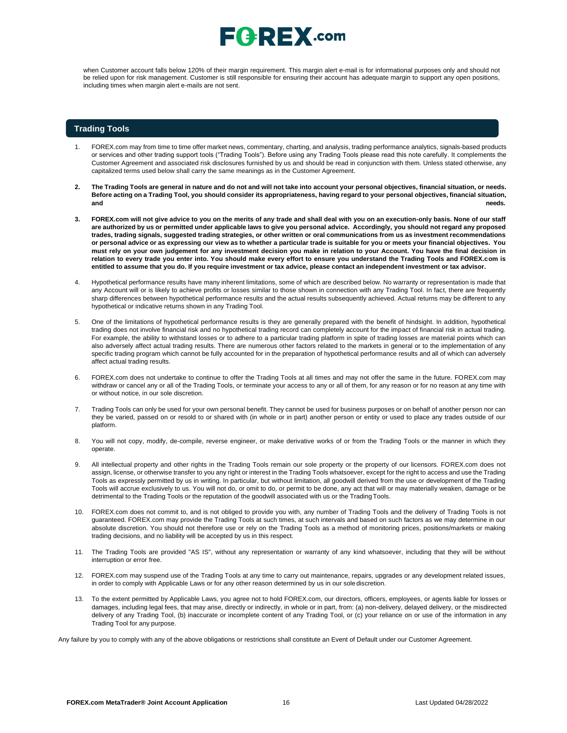when Customer account falls below 120% of their margin requirement. This margin alert e-mail is for informational purposes only and should not be relied upon for risk management. Customer is still responsible for ensuring their account has adequate margin to support any open positions, including times when margin alert e-mails are not sent.

#### **Trading Tools**

- 1. FOREX.com may from time to time offer market news, commentary, charting, and analysis, trading performance analytics, signals-based products or services and other trading support tools ("Trading Tools"). Before using any Trading Tools please read this note carefully. It complements the Customer Agreement and associated risk disclosures furnished by us and should be read in conjunction with them. Unless stated otherwise, any capitalized terms used below shall carry the same meanings as in the Customer Agreement.
- 2. The Trading Tools are general in nature and do not and will not take into account your personal objectives, financial situation, or needs. Before acting on a Trading Tool, you should consider its appropriateness, having regard to your personal objectives, financial situation, **and needs.**
- **3. FOREX.com will not give advice to you on the merits of any trade and shall deal with you on an execution-only basis. None of our staff**  are authorized by us or permitted under applicable laws to give you personal advice. Accordingly, you should not regard any proposed trades, trading signals, suggested trading strategies, or other written or oral communications from us as investment recommendations or personal advice or as expressing our view as to whether a particular trade is suitable for you or meets your financial objectives. You **must rely on your own judgement for any investment decision you make in relation to your Account. You have the final decision in relation to every trade you enter into. You should make every effort to ensure you understand the Trading Tools and FOREX.com is**  entitled to assume that you do. If you require investment or tax advice, please contact an independent investment or tax advisor.
- 4. Hypothetical performance results have many inherent limitations, some of which are described below. No warranty or representation is made that any Account will or is likely to achieve profits or losses similar to those shown in connection with any Trading Tool. In fact, there are frequently sharp differences between hypothetical performance results and the actual results subsequently achieved. Actual returns may be different to any hypothetical or indicative returns shown in any Trading Tool.
- 5. One of the limitations of hypothetical performance results is they are generally prepared with the benefit of hindsight. In addition, hypothetical trading does not involve financial risk and no hypothetical trading record can completely account for the impact of financial risk in actual trading. For example, the ability to withstand losses or to adhere to a particular trading platform in spite of trading losses are material points which can also adversely affect actual trading results. There are numerous other factors related to the markets in general or to the implementation of any specific trading program which cannot be fully accounted for in the preparation of hypothetical performance results and all of which can adversely affect actual trading results.
- 6. FOREX.com does not undertake to continue to offer the Trading Tools at all times and may not offer the same in the future. FOREX.com may withdraw or cancel any or all of the Trading Tools, or terminate your access to any or all of them, for any reason or for no reason at any time with or without notice, in our sole discretion.
- 7. Trading Tools can only be used for your own personal benefit. They cannot be used for business purposes or on behalf of another person nor can they be varied, passed on or resold to or shared with (in whole or in part) another person or entity or used to place any trades outside of our platform.
- 8. You will not copy, modify, de-compile, reverse engineer, or make derivative works of or from the Trading Tools or the manner in which they operate.
- 9. All intellectual property and other rights in the Trading Tools remain our sole property or the property of our licensors. FOREX.com does not assign, license, or otherwise transfer to you any right or interest in the Trading Tools whatsoever, except for the right to access and use the Trading Tools as expressly permitted by us in writing. In particular, but without limitation, all goodwill derived from the use or development of the Trading Tools will accrue exclusively to us. You will not do, or omit to do, or permit to be done, any act that will or may materially weaken, damage or be detrimental to the Trading Tools or the reputation of the goodwill associated with us or the TradingTools.
- 10. FOREX.com does not commit to, and is not obliged to provide you with, any number of Trading Tools and the delivery of Trading Tools is not guaranteed. FOREX.com may provide the Trading Tools at such times, at such intervals and based on such factors as we may determine in our absolute discretion. You should not therefore use or rely on the Trading Tools as a method of monitoring prices, positions/markets or making trading decisions, and no liability will be accepted by us in this respect.
- 11. The Trading Tools are provided "AS IS", without any representation or warranty of any kind whatsoever, including that they will be without interruption or error free.
- 12. FOREX.com may suspend use of the Trading Tools at any time to carry out maintenance, repairs, upgrades or any development related issues, in order to comply with Applicable Laws or for any other reason determined by us in our sole discretion.
- 13. To the extent permitted by Applicable Laws, you agree not to hold FOREX.com, our directors, officers, employees, or agents liable for losses or damages, including legal fees, that may arise, directly or indirectly, in whole or in part, from: (a) non-delivery, delayed delivery, or the misdirected delivery of any Trading Tool, (b) inaccurate or incomplete content of any Trading Tool, or (c) your reliance on or use of the information in any Trading Tool for any purpose.

Any failure by you to comply with any of the above obligations or restrictions shall constitute an Event of Default under our Customer Agreement.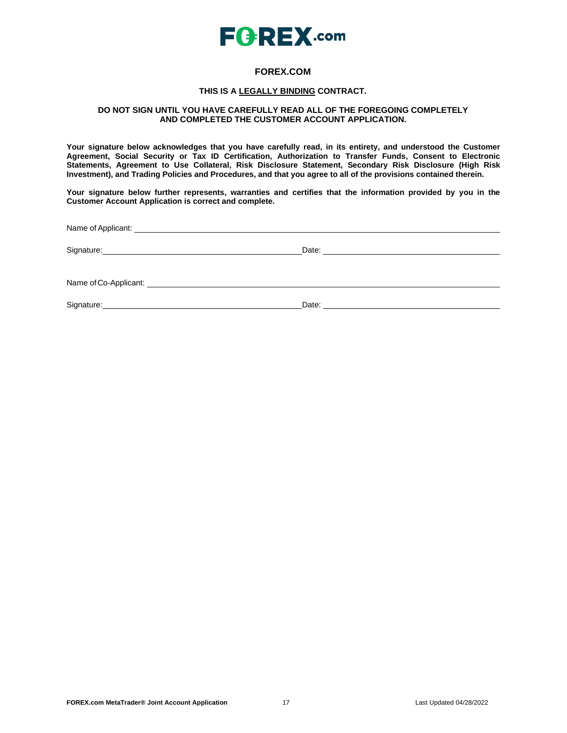

# **FOREX.COM**

## **THIS IS A LEGALLY BINDING CONTRACT.**

## **DO NOT SIGN UNTIL YOU HAVE CAREFULLY READ ALL OF THE FOREGOING COMPLETELY AND COMPLETED THE CUSTOMER ACCOUNT APPLICATION.**

**Your signature below acknowledges that you have carefully read, in its entirety, and understood the Customer Agreement, Social Security or Tax ID Certification, Authorization to Transfer Funds, Consent to Electronic Statements, Agreement to Use Collateral, Risk Disclosure Statement, Secondary Risk Disclosure (High Risk Investment), and Trading Policies and Procedures, and that you agree to all of the provisions contained therein.**

**Your signature below further represents, warranties and certifies that the information provided by you in the Customer Account Application is correct and complete.**

Name ofApplicant:

Signature: Date: Date: Date: Date: Date: Date: Date: Date: Date: Date: Date: Date: Date: Date: Date: Date: Date: Date: Date: Date: Date: Date: Date: Date: Date: Date: Date: Date: Date: Date: Date: Date: Date: Date: Date: D

Name of Co-Applicant:

Signature: 2008 Contract Contract Contract Contract Contract Contract Contract Contract Contract Contract Contract Contract Contract Contract Contract Contract Contract Contract Contract Contract Contract Contract Contract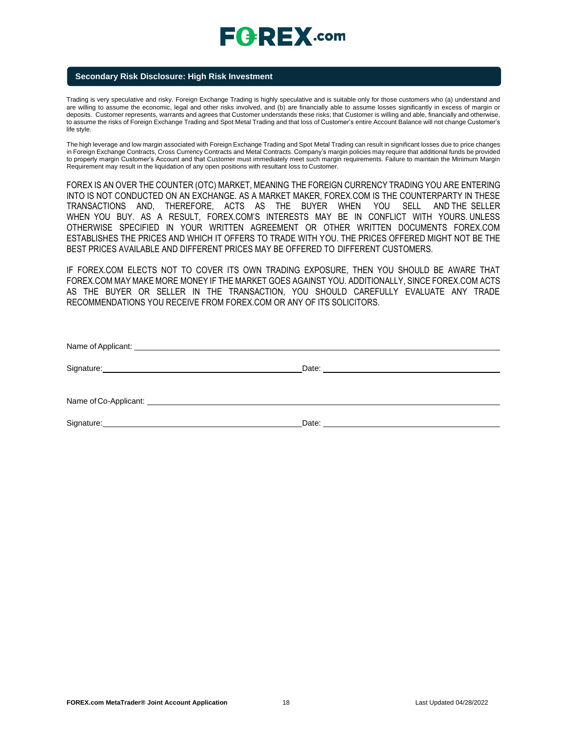## **Secondary Risk Disclosure: High Risk Investment**

Trading is very speculative and risky. Foreign Exchange Trading is highly speculative and is suitable only for those customers who (a) understand and are willing to assume the economic, legal and other risks involved, and (b) are financially able to assume losses significantly in excess of margin or deposits. Customer represents, warrants and agrees that Customer understands these risks; that Customer is willing and able, financially and otherwise, to assume the risks of Foreign Exchange Trading and Spot Metal Trading and that loss of Customer's entire Account Balance will not change Customer's life style.

The high leverage and low margin associated with Foreign Exchange Trading and Spot Metal Trading can result in significant losses due to price changes in Foreign Exchange Contracts, Cross Currency Contracts and Metal Contracts. Company's margin policies may require that additional funds be provided to properly margin Customer's Account and that Customer must immediately meet such margin requirements. Failure to maintain the Minimum Margin Requirement may result in the liquidation of any open positions with resultant loss to Customer.

FOREX IS AN OVER THE COUNTER (OTC) MARKET, MEANING THE FOREIGN CURRENCY TRADING YOU ARE ENTERING INTO IS NOT CONDUCTED ON AN EXCHANGE. AS A MARKET MAKER, FOREX.COM IS THE COUNTERPARTY IN THESE TRANSACTIONS AND, THEREFORE, ACTS AS THE BUYER WHEN YOU SELL AND THE SELLER WHEN YOU BUY. AS A RESULT, FOREX.COM'S INTERESTS MAY BE IN CONFLICT WITH YOURS. UNLESS OTHERWISE SPECIFIED IN YOUR WRITTEN AGREEMENT OR OTHER WRITTEN DOCUMENTS FOREX.COM ESTABLISHES THE PRICES AND WHICH IT OFFERS TO TRADE WITH YOU. THE PRICES OFFERED MIGHT NOT BE THE BEST PRICES AVAILABLE AND DIFFERENT PRICES MAY BE OFFERED TO DIFFERENT CUSTOMERS.

IF FOREX.COM ELECTS NOT TO COVER ITS OWN TRADING EXPOSURE, THEN YOU SHOULD BE AWARE THAT FOREX.COM MAY MAKE MORE MONEY IF THE MARKET GOES AGAINST YOU. ADDITIONALLY, SINCE FOREX.COM ACTS AS THE BUYER OR SELLER IN THE TRANSACTION, YOU SHOULD CAREFULLY EVALUATE ANY TRADE RECOMMENDATIONS YOU RECEIVE FROM FOREX.COM OR ANY OF ITS SOLICITORS.

| Name of Co-Applicant: Name of Co-Applicant of Co-Applicant of Co-Applicant of Co-                                                                                                                                                                  |       |
|----------------------------------------------------------------------------------------------------------------------------------------------------------------------------------------------------------------------------------------------------|-------|
| Signature:<br><u>and the contract of the contract of the contract of the contract of the contract of the contract of the contract of the contract of the contract of the contract of the contract of the contract of the contract of the contr</u> | Date: |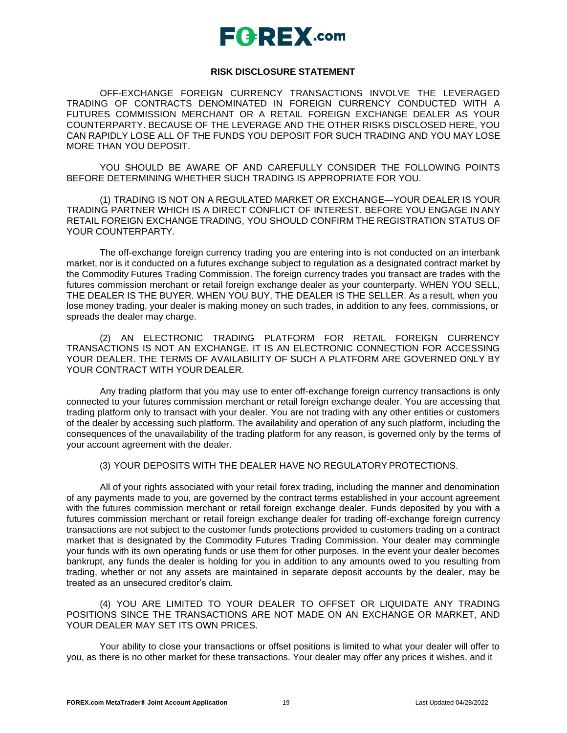

# **RISK DISCLOSURE STATEMENT**

OFF-EXCHANGE FOREIGN CURRENCY TRANSACTIONS INVOLVE THE LEVERAGED TRADING OF CONTRACTS DENOMINATED IN FOREIGN CURRENCY CONDUCTED WITH A FUTURES COMMISSION MERCHANT OR A RETAIL FOREIGN EXCHANGE DEALER AS YOUR COUNTERPARTY. BECAUSE OF THE LEVERAGE AND THE OTHER RISKS DISCLOSED HERE, YOU CAN RAPIDLY LOSE ALL OF THE FUNDS YOU DEPOSIT FOR SUCH TRADING AND YOU MAY LOSE MORE THAN YOU DEPOSIT.

YOU SHOULD BE AWARE OF AND CAREFULLY CONSIDER THE FOLLOWING POINTS BEFORE DETERMINING WHETHER SUCH TRADING IS APPROPRIATE FOR YOU.

(1) TRADING IS NOT ON A REGULATED MARKET OR EXCHANGE—YOUR DEALER IS YOUR TRADING PARTNER WHICH IS A DIRECT CONFLICT OF INTEREST. BEFORE YOU ENGAGE IN ANY RETAIL FOREIGN EXCHANGE TRADING, YOU SHOULD CONFIRM THE REGISTRATION STATUS OF YOUR COUNTERPARTY.

The off-exchange foreign currency trading you are entering into is not conducted on an interbank market, nor is it conducted on a futures exchange subject to regulation as a designated contract market by the Commodity Futures Trading Commission. The foreign currency trades you transact are trades with the futures commission merchant or retail foreign exchange dealer as your counterparty. WHEN YOU SELL, THE DEALER IS THE BUYER. WHEN YOU BUY, THE DEALER IS THE SELLER. As a result, when you lose money trading, your dealer is making money on such trades, in addition to any fees, commissions, or spreads the dealer may charge.

(2) AN ELECTRONIC TRADING PLATFORM FOR RETAIL FOREIGN CURRENCY TRANSACTIONS IS NOT AN EXCHANGE. IT IS AN ELECTRONIC CONNECTION FOR ACCESSING YOUR DEALER. THE TERMS OF AVAILABILITY OF SUCH A PLATFORM ARE GOVERNED ONLY BY YOUR CONTRACT WITH YOUR DEALER.

Any trading platform that you may use to enter off-exchange foreign currency transactions is only connected to your futures commission merchant or retail foreign exchange dealer. You are accessing that trading platform only to transact with your dealer. You are not trading with any other entities or customers of the dealer by accessing such platform. The availability and operation of any such platform, including the consequences of the unavailability of the trading platform for any reason, is governed only by the terms of your account agreement with the dealer.

## (3) YOUR DEPOSITS WITH THE DEALER HAVE NO REGULATORYPROTECTIONS.

All of your rights associated with your retail forex trading, including the manner and denomination of any payments made to you, are governed by the contract terms established in your account agreement with the futures commission merchant or retail foreign exchange dealer. Funds deposited by you with a futures commission merchant or retail foreign exchange dealer for trading off-exchange foreign currency transactions are not subject to the customer funds protections provided to customers trading on a contract market that is designated by the Commodity Futures Trading Commission. Your dealer may commingle your funds with its own operating funds or use them for other purposes. In the event your dealer becomes bankrupt, any funds the dealer is holding for you in addition to any amounts owed to you resulting from trading, whether or not any assets are maintained in separate deposit accounts by the dealer, may be treated as an unsecured creditor's claim.

(4) YOU ARE LIMITED TO YOUR DEALER TO OFFSET OR LIQUIDATE ANY TRADING POSITIONS SINCE THE TRANSACTIONS ARE NOT MADE ON AN EXCHANGE OR MARKET, AND YOUR DEALER MAY SET ITS OWN PRICES.

Your ability to close your transactions or offset positions is limited to what your dealer will offer to you, as there is no other market for these transactions. Your dealer may offer any prices it wishes, and it